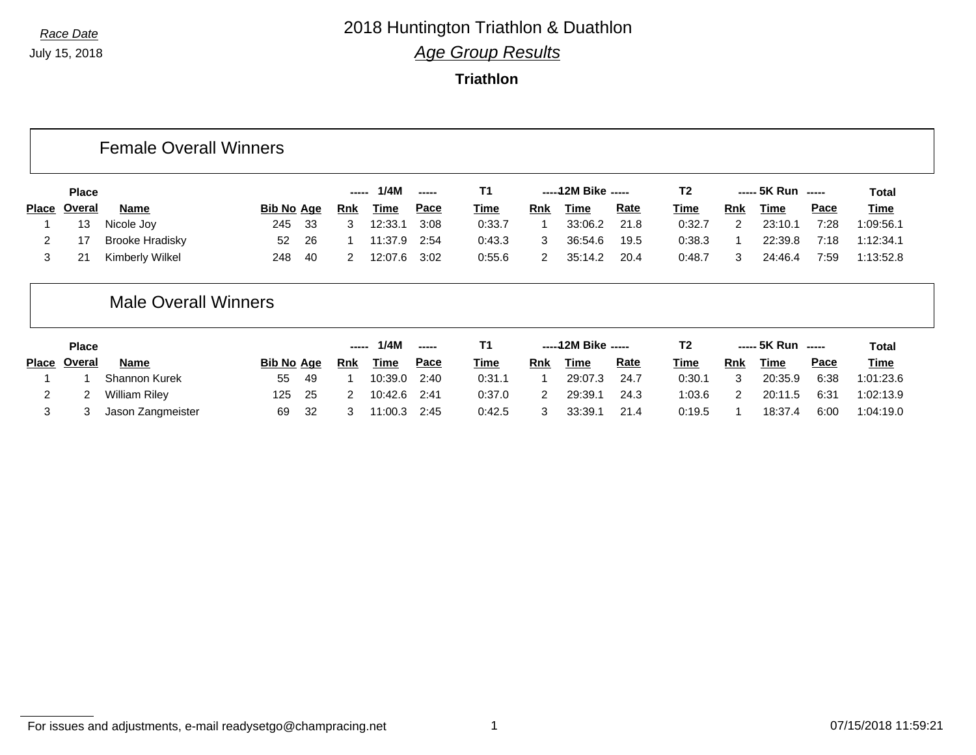**Triathlon**

#### Female Overall Winners

| <b>Place</b> |                        |                   |      | ------     | 1/4M        | $\overline{\phantom{a}}$ |             |            | -----12M Bike ----- |             | T2     |               | $--- 5K Run$ $---$ |      | Total       |
|--------------|------------------------|-------------------|------|------------|-------------|--------------------------|-------------|------------|---------------------|-------------|--------|---------------|--------------------|------|-------------|
| Place Overal | <b>Name</b>            | <b>Bib No Age</b> |      | <b>Rnk</b> | <b>Time</b> | <u>Pace</u>              | <u>Time</u> | <b>Rnk</b> | <b>Time</b>         | <b>Rate</b> | Time   | Rnk           | <b>Time</b>        | Pace | <u>Time</u> |
| 13           | Nicole Joy             | 245               | - 33 |            | 12:33.1     | 3:08                     | 0:33.7      |            | 33:06.2             | 21.8        | 0:32.7 | $\mathcal{P}$ | 23:10.1            | 7:28 | 1:09:56.1   |
|              | <b>Brooke Hradisky</b> | 52                | - 26 |            | 11:37.9     | 2:54                     | 0:43.3      |            | 36:54.6             | 19.5        | 0:38.3 |               | 22:39.8            | 7:18 | 1:12:34.1   |
| 21           | Kimberly Wilkel        | 248               | - 40 |            | 12:07.6     | 3:02                     | 0:55.6      |            | 35:14.2             | 20.4        | 0:48.7 |               | 24:46.4            | 7:59 | 1:13:52.8   |

## Male Overall Winners

| <b>Place</b>        |                      |                   |      | ------ | 1/4M    | $\frac{1}{2}$ |             |     | ----- 12M Bike ----- |      | T <sub>2</sub> |            | ----- 5K Run ----- |             | Total       |
|---------------------|----------------------|-------------------|------|--------|---------|---------------|-------------|-----|----------------------|------|----------------|------------|--------------------|-------------|-------------|
| Place <u>Overal</u> | Name                 | <b>Bib No Age</b> |      | Rnk    | Time    | Pace          | <u>Time</u> | Rnk | Time                 | Rate | Time           | <b>Rnk</b> | Time               | <u>Pace</u> | <b>Time</b> |
|                     | <b>Shannon Kurek</b> | 55                | -49  |        | 10:39.0 | 2:40          | 0:31.1      |     | 29:07.3              | 24.7 | 0:30.1         |            | 20:35.9            | 6:38        | 1:01:23.6   |
|                     | <b>William Riley</b> | 125               | - 25 |        | 10:42.6 | 2:41          | 0:37.0      |     | 29:39.1              | 24.3 | 1:03.6         |            | 20:11.5            | 6:31        | 1:02:13.9   |
|                     | Jason Zangmeister    | 69                | - 32 |        | 11:00.3 | 2:45          | 0:42.5      |     | 33:39.1              | 21.4 | 0:19.5         |            | 18:37.4            | 6:00        | 1:04:19.0   |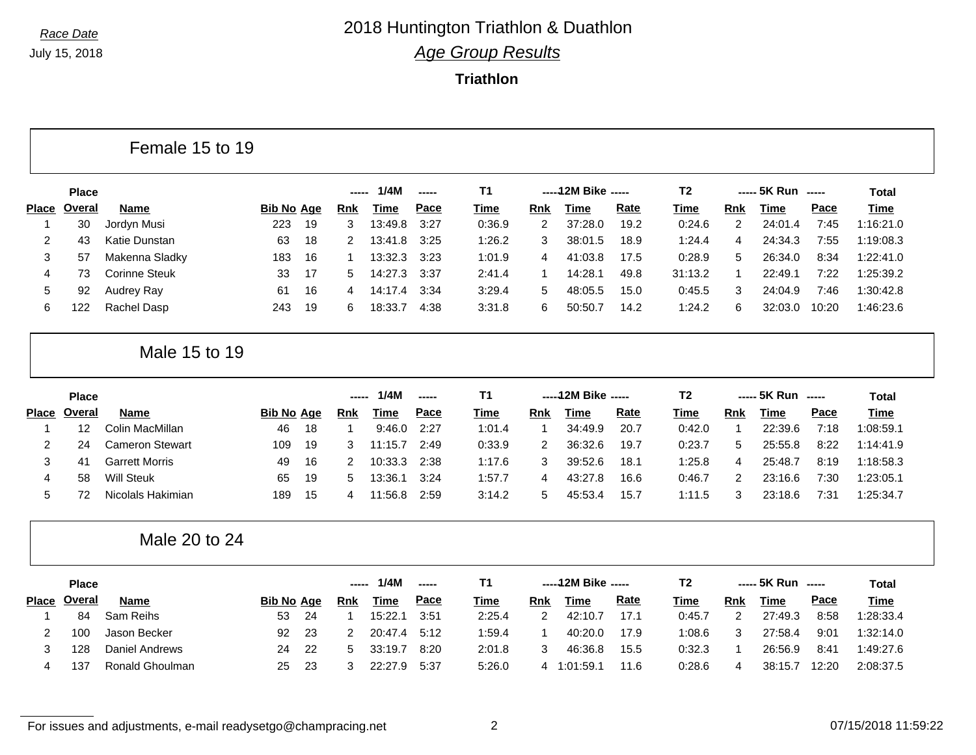Г

## *Race Date* 2018 Huntington Triathlon & Duathlon *Age Group Results*

**Triathlon**

|              |              | Female 15 to 19        |                   |    |                |             |               |             |                |                      |             |                |                |                    |                          |              |
|--------------|--------------|------------------------|-------------------|----|----------------|-------------|---------------|-------------|----------------|----------------------|-------------|----------------|----------------|--------------------|--------------------------|--------------|
|              | <b>Place</b> |                        |                   |    | -----          | 1/4M        | -----         | <b>T1</b>   |                | ----- 12M Bike ----- |             | T <sub>2</sub> |                | ----- 5K Run       | $\overline{\phantom{a}}$ | <b>Total</b> |
| <b>Place</b> | Overal       | <b>Name</b>            | <b>Bib No Age</b> |    | <u>Rnk</u>     | Time        | Pace          | Time        | Rnk            | <b>Time</b>          | <b>Rate</b> | Time           | <b>Rnk</b>     | <b>Time</b>        | Pace                     | <b>Time</b>  |
| 1            | 30           | Jordyn Musi            | 223               | 19 | 3              | 13:49.8     | 3:27          | 0:36.9      | 2              | 37:28.0              | 19.2        | 0:24.6         | $\overline{c}$ | 24:01.4            | 7:45                     | 1:16:21.0    |
| 2            | 43           | <b>Katie Dunstan</b>   | 63                | 18 | 2              | 13:41.8     | 3:25          | 1:26.2      | 3              | 38:01.5              | 18.9        | 1:24.4         | 4              | 24:34.3            | 7:55                     | 1:19:08.3    |
| 3            | 57           | Makenna Sladky         | 183               | 16 | -1             | 13:32.3     | 3:23          | 1:01.9      | 4              | 41:03.8              | 17.5        | 0:28.9         | 5              | 26:34.0            | 8:34                     | 1:22:41.0    |
| 4            | 73           | <b>Corinne Steuk</b>   | 33                | 17 | 5              | 14:27.3     | 3:37          | 2:41.4      | 1              | 14:28.1              | 49.8        | 31:13.2        | $\mathbf 1$    | 22:49.1            | 7:22                     | 1:25:39.2    |
| 5            | 92           | Audrey Ray             | 61                | 16 | 4              | 14:17.4     | 3:34          | 3:29.4      | 5              | 48:05.5              | 15.0        | 0:45.5         | 3              | 24:04.9            | 7:46                     | 1:30:42.8    |
| 6            | 122          | Rachel Dasp            | 243               | 19 | 6              | 18:33.7     | 4:38          | 3:31.8      | 6              | 50:50.7              | 14.2        | 1:24.2         | 6              | 32:03.0            | 10:20                    | 1:46:23.6    |
|              |              | Male 15 to 19          |                   |    |                |             |               |             |                |                      |             |                |                |                    |                          |              |
|              | <b>Place</b> |                        |                   |    | -----          | 1/4M        | -----         | <b>T1</b>   |                | ----- 12M Bike ----- |             | T <sub>2</sub> |                | ----- 5K Run ----- |                          | Total        |
| <b>Place</b> | Overal       | <b>Name</b>            | <b>Bib No Age</b> |    | <b>Rnk</b>     | Time        | Pace          | Time        | <b>Rnk</b>     | <b>Time</b>          | <b>Rate</b> | Time           | <b>Rnk</b>     | <b>Time</b>        | Pace                     | <b>Time</b>  |
| 1            | 12           | Colin MacMillan        | 46                | 18 | $\overline{1}$ | 9:46.0      | 2:27          | 1:01.4      | $\mathbf{1}$   | 34:49.9              | 20.7        | 0:42.0         | $\mathbf{1}$   | 22:39.6            | 7:18                     | 1:08:59.1    |
| 2            | 24           | <b>Cameron Stewart</b> | 109               | 19 | 3              | 11:15.7     | 2:49          | 0:33.9      | $\overline{2}$ | 36:32.6              | 19.7        | 0:23.7         | 5              | 25:55.8            | 8:22                     | 1:14:41.9    |
| 3            | 41           | <b>Garrett Morris</b>  | 49                | 16 | 2              | 10:33.3     | 2:38          | 1:17.6      | 3              | 39:52.6              | 18.1        | 1:25.8         | 4              | 25:48.7            | 8:19                     | 1:18:58.3    |
| 4            | 58           | <b>Will Steuk</b>      | 65                | 19 | 5              | 13:36.1     | 3:24          | 1:57.7      | 4              | 43:27.8              | 16.6        | 0:46.7         | 2              | 23:16.6            | 7:30                     | 1:23:05.1    |
| 5            | 72           | Nicolals Hakimian      | 189               | 15 | 4              | 11:56.8     | 2:59          | 3:14.2      | 5              | 45:53.4              | 15.7        | 1:11.5         | 3              | 23:18.6            | 7:31                     | 1:25:34.7    |
|              |              | Male 20 to 24          |                   |    |                |             |               |             |                |                      |             |                |                |                    |                          |              |
|              | <b>Place</b> |                        |                   |    | ---            | 1/4M        | $\frac{1}{2}$ | <b>T1</b>   |                | ----- 12M Bike ----- |             | T <sub>2</sub> |                | ----- 5K Run ----- |                          | <b>Total</b> |
|              | Place Overal | <b>Name</b>            | <b>Bib No Age</b> |    | <b>Rnk</b>     | <b>Time</b> | Pace          | <u>Time</u> | <b>Rnk</b>     | <b>Time</b>          | <b>Rate</b> | <b>Time</b>    | <b>Rnk</b>     | <b>Time</b>        | Pace                     | <b>Time</b>  |
| 1            | 84           | Sam Reihs              | 53                | 24 | $\overline{1}$ | 15:22.1     | 3:51          | 2:25.4      | $\overline{2}$ | 42:10.7              | 17.1        | 0:45.7         | 2              | 27:49.3            | 8:58                     | 1:28:33.4    |
|              |              |                        |                   |    |                |             |               |             |                |                      |             |                |                |                    |                          |              |
| 2            | 100          | Jason Becker           | 92                | 23 | 2              | 20:47.4     | 5:12          | 1:59.4      | 1              | 40:20.0              | 17.9        | 1:08.6         | 3              | 27:58.4            | 9:01                     | 1:32:14.0    |
| 3            | 128          | <b>Daniel Andrews</b>  | 24                | 22 | 5              | 33:19.7     | 8:20          | 2:01.8      | 3              | 46:36.8              | 15.5        | 0:32.3         | $\mathbf 1$    | 26:56.9            | 8:41                     | 1:49:27.6    |

For issues and adjustments, e-mail readysetgo@champracing.net 2 07/15/2018 11:59:22

п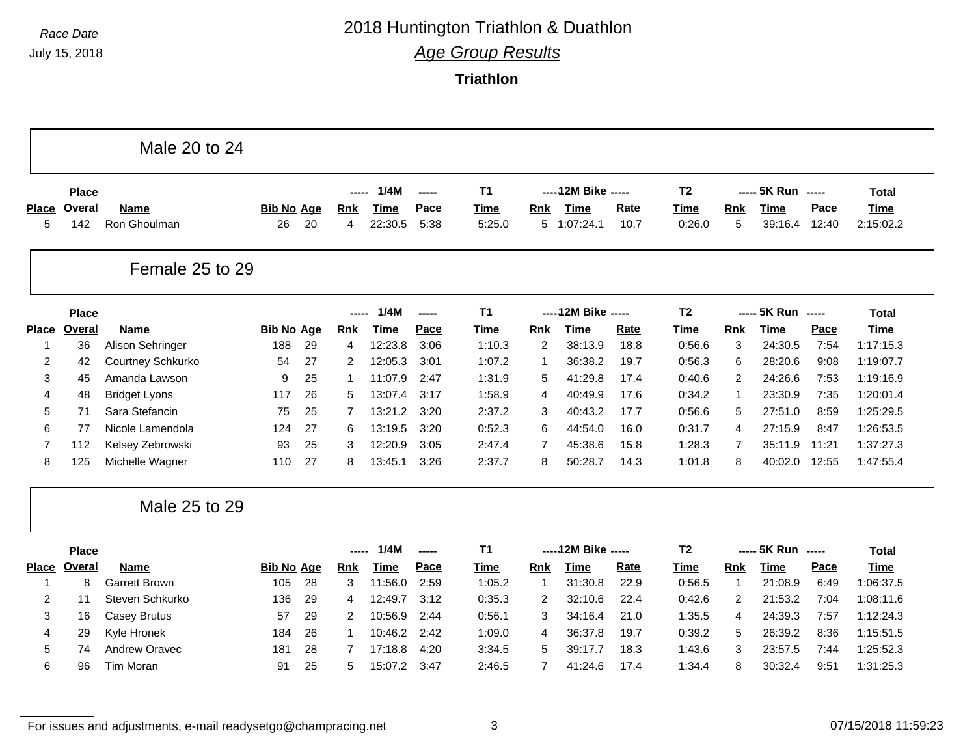# *Race Date* 2018 Huntington Triathlon & Duathlon

*Age Group Results*

**Triathlon**

|                   |               | Male 20 to 24               |                         |    |                 |                        |              |                |                |                      |              |                       |                 |                        |               |                          |
|-------------------|---------------|-----------------------------|-------------------------|----|-----------------|------------------------|--------------|----------------|----------------|----------------------|--------------|-----------------------|-----------------|------------------------|---------------|--------------------------|
|                   | <b>Place</b>  |                             |                         |    |                 | 1/4M                   | -----        | <b>T1</b>      |                | ----- 12M Bike ----- |              | T <sub>2</sub>        |                 | ----- 5K Run -----     |               | <b>Total</b>             |
| <b>Place</b><br>5 | Overal<br>142 | <b>Name</b><br>Ron Ghoulman | <b>Bib No Age</b><br>26 | 20 | <b>Rnk</b><br>4 | <b>Time</b><br>22:30.5 | Pace<br>5:38 | Time<br>5:25.0 | Rnk            | Time<br>5 1:07:24.1  | Rate<br>10.7 | <b>Time</b><br>0:26.0 | <b>Rnk</b><br>5 | <b>Time</b><br>39:16.4 | Pace<br>12:40 | <b>Time</b><br>2:15:02.2 |
|                   |               | Female 25 to 29             |                         |    |                 |                        |              |                |                |                      |              |                       |                 |                        |               |                          |
|                   | <b>Place</b>  |                             |                         |    | ------          | 1/4M                   | -----        | T <sub>1</sub> |                | ----- 12M Bike ----- |              | T <sub>2</sub>        |                 | ----- 5K Run -----     |               | <b>Total</b>             |
| <b>Place</b>      | Overal        | <b>Name</b>                 | <b>Bib No Age</b>       |    | <b>Rnk</b>      | <b>Time</b>            | Pace         | <b>Time</b>    | <b>Rnk</b>     | <b>Time</b>          | <b>Rate</b>  | <b>Time</b>           | <b>Rnk</b>      | <b>Time</b>            | Pace          | <b>Time</b>              |
| 1                 | 36            | Alison Sehringer            | 188                     | 29 | 4               | 12:23.8                | 3:06         | 1:10.3         | $\overline{2}$ | 38:13.9              | 18.8         | 0:56.6                | 3               | 24:30.5                | 7:54          | 1:17:15.3                |
| $\overline{2}$    | 42            | Courtney Schkurko           | 54                      | 27 | 2               | 12:05.3                | 3:01         | 1:07.2         | -1             | 36:38.2              | 19.7         | 0:56.3                | 6               | 28:20.6                | 9:08          | 1:19:07.7                |
| 3                 | 45            | Amanda Lawson               | 9                       | 25 | 1               | 11:07.9                | 2:47         | 1:31.9         | 5              | 41:29.8              | 17.4         | 0:40.6                | 2               | 24:26.6                | 7:53          | 1:19:16.9                |
| 4                 | 48            | <b>Bridget Lyons</b>        | 117                     | 26 | 5               | 13:07.4                | 3:17         | 1:58.9         | 4              | 40:49.9              | 17.6         | 0:34.2                | $\mathbf 1$     | 23:30.9                | 7:35          | 1:20:01.4                |
| 5                 | 71            | Sara Stefancin              | 75                      | 25 | 7               | 13:21.2                | 3:20         | 2:37.2         | 3              | 40:43.2              | 17.7         | 0:56.6                | 5               | 27:51.0                | 8:59          | 1:25:29.5                |
| 6                 | 77            | Nicole Lamendola            | 124                     | 27 | 6               | 13:19.5                | 3:20         | 0:52.3         | 6              | 44:54.0              | 16.0         | 0:31.7                | $\overline{4}$  | 27:15.9                | 8:47          | 1:26:53.5                |
| 7                 | 112           | Kelsey Zebrowski            | 93                      | 25 | 3               | 12:20.9                | 3:05         | 2:47.4         | 7              | 45:38.6              | 15.8         | 1:28.3                | $\overline{7}$  | 35:11.9                | 11:21         | 1:37:27.3                |
| 8                 | 125           | Michelle Wagner             | 110                     | 27 | 8               | 13:45.1                | 3:26         | 2:37.7         | 8              | 50:28.7              | 14.3         | 1:01.8                | 8               | 40:02.0                | 12:55         | 1:47:55.4                |
|                   |               | Male 25 to 29               |                         |    |                 |                        |              |                |                |                      |              |                       |                 |                        |               |                          |
|                   | <b>Place</b>  |                             |                         |    | ------          | 1/4M                   | -----        | T <sub>1</sub> |                | ----- 12M Bike ----- |              | T <sub>2</sub>        |                 | ----- 5K Run -----     |               | <b>Total</b>             |
| Place             | Overal        | <b>Name</b>                 | <b>Bib No Age</b>       |    | Rnk             | <b>Time</b>            | Pace         | <b>Time</b>    | Rnk            | <b>Time</b>          | Rate         | <b>Time</b>           | Rnk             | <b>Time</b>            | Pace          | <b>Time</b>              |
| 1                 | 8             | <b>Garrett Brown</b>        | 105                     | 28 | 3               | 11:56.0                | 2:59         | 1:05.2         | $\mathbf 1$    | 31:30.8              | 22.9         | 0:56.5                | $\mathbf{1}$    | 21:08.9                | 6:49          | 1:06:37.5                |
| 2                 | 11            | Steven Schkurko             | 136                     | 29 | 4               | 12:49.7                | 3:12         | 0:35.3         | 2              | 32:10.6              | 22.4         | 0:42.6                | 2               | 21:53.2                | 7:04          | 1:08:11.6                |
| 3                 | 16            | <b>Casey Brutus</b>         | 57                      | 29 | 2               | 10:56.9                | 2:44         | 0:56.1         | 3              | 34:16.4              | 21.0         | 1:35.5                | 4               | 24:39.3                | 7:57          | 1:12:24.3                |
| 4                 | 29            | Kyle Hronek                 | 184                     | 26 | $\mathbf 1$     | 10:46.2                | 2:42         | 1:09.0         | 4              | 36:37.8              | 19.7         | 0:39.2                | 5               | 26:39.2                | 8:36          | 1:15:51.5                |
| 5                 | 74            | Andrew Oravec               | 181                     | 28 | 7               | 17:18.8                | 4:20         | 3:34.5         | 5              | 39:17.7              | 18.3         | 1:43.6                | 3               | 23:57.5                | 7:44          | 1:25:52.3                |
| 6                 | 96            | <b>Tim Moran</b>            | 91                      | 25 | 5               | 15:07.2                | 3:47         | 2:46.5         | 7              | 41:24.6              | 17.4         | 1:34.4                | 8               | 30:32.4                | 9:51          | 1:31:25.3                |

For issues and adjustments, e-mail readysetgo@champracing.net 3 07/15/2018 11:59:23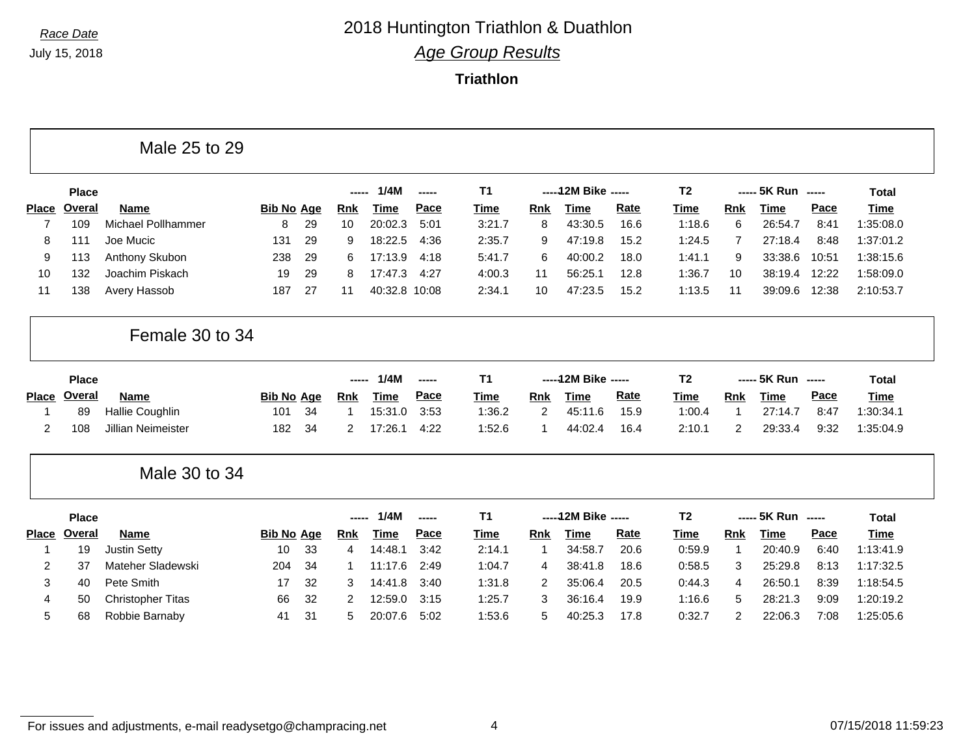Г

## *Race Date* 2018 Huntington Triathlon & Duathlon *Age Group Results*

**Triathlon**

|              |               | Male 25 to 29            |                   |    |            |             |       |           |                |                      |      |                |                |                    |       |              |
|--------------|---------------|--------------------------|-------------------|----|------------|-------------|-------|-----------|----------------|----------------------|------|----------------|----------------|--------------------|-------|--------------|
|              | <b>Place</b>  |                          |                   |    | -----      | 1/4M        | ----- | T1        |                | ----- 12M Bike ----- |      | <b>T2</b>      |                | ----- 5K Run ----- |       | <b>Total</b> |
| <b>Place</b> | Overal        | <b>Name</b>              | <b>Bib No Age</b> |    | <b>Rnk</b> | Time        | Pace  | Time      | <b>Rnk</b>     | <b>Time</b>          | Rate | <b>Time</b>    | Rnk            | <b>Time</b>        | Pace  | <b>Time</b>  |
| 7            | 109           | Michael Pollhammer       | 8                 | 29 | 10         | 20:02.3     | 5:01  | 3:21.7    | 8              | 43:30.5              | 16.6 | 1:18.6         | 6              | 26:54.7            | 8:41  | 1:35:08.0    |
| 8            | 111           | Joe Mucic                | 131               | 29 | 9          | 18:22.5     | 4:36  | 2:35.7    | 9              | 47:19.8              | 15.2 | 1:24.5         | 7              | 27:18.4            | 8:48  | 1:37:01.2    |
| 9            | 113           | Anthony Skubon           | 238               | 29 | 6          | 17:13.9     | 4:18  | 5:41.7    | 6              | 40:00.2              | 18.0 | 1:41.1         | 9              | 33:38.6            | 10:51 | 1:38:15.6    |
| 10           | 132           | Joachim Piskach          | 19                | 29 | 8          | 17:47.3     | 4:27  | 4:00.3    | 11             | 56:25.1              | 12.8 | 1:36.7         | 10             | 38:19.4            | 12:22 | 1:58:09.0    |
| 11           | 138           | Avery Hassob             | 187               | 27 | 11         | 40:32.8     | 10:08 | 2:34.1    | 10             | 47:23.5              | 15.2 | 1:13.5         | 11             | 39:09.6            | 12:38 | 2:10:53.7    |
|              |               | Female 30 to 34          |                   |    |            |             |       |           |                |                      |      |                |                |                    |       |              |
|              | <b>Place</b>  |                          |                   |    |            | 1/4M        | ----- | T1        |                | ----- 12M Bike ----- |      | T <sub>2</sub> |                | ----- 5K Run       | $-$   | <b>Total</b> |
| <b>Place</b> | Overal        | <b>Name</b>              | <b>Bib No Age</b> |    | Rnk        | Time        | Pace  | Time      | <b>Rnk</b>     | <b>Time</b>          | Rate | <b>Time</b>    | Rnk            | <b>Time</b>        | Pace  | <b>Time</b>  |
| 1            | 89            | <b>Hallie Coughlin</b>   | 101               | 34 |            | 15:31.0     | 3:53  | 1:36.2    | 2              | 45:11.6              | 15.9 | 1:00.4         | -1             | 27:14.7            | 8:47  | 1:30:34.1    |
| 2            | 108           | Jillian Neimeister       | 182               | 34 | 2          | 17:26.1     | 4:22  | 1:52.6    | 1              | 44:02.4              | 16.4 | 2:10.1         | 2              | 29:33.4            | 9:32  | 1:35:04.9    |
|              |               | Male 30 to 34            |                   |    |            |             |       |           |                |                      |      |                |                |                    |       |              |
|              | <b>Place</b>  |                          |                   |    | -----      | 1/4M        | ----- | <b>T1</b> |                | ----- 12M Bike ----- |      | T <sub>2</sub> |                | ----- 5K Run       | $-$   | <b>Total</b> |
| <b>Place</b> | <b>Overal</b> | <b>Name</b>              | <b>Bib No Age</b> |    | <b>Rnk</b> | <b>Time</b> | Pace  | Time      | Rnk            | <b>Time</b>          | Rate | <b>Time</b>    | Rnk            | <b>Time</b>        | Pace  | <b>Time</b>  |
| 1            | 19            | <b>Justin Setty</b>      | 10                | 33 | 4          | 14:48.1     | 3:42  | 2:14.1    | $\mathbf 1$    | 34:58.7              | 20.6 | 0:59.9         | $\mathbf 1$    | 20:40.9            | 6:40  | 1:13:41.9    |
| 2            | 37            | Mateher Sladewski        | 204               | 34 |            | 11:17.6     | 2:49  | 1:04.7    | 4              | 38:41.8              | 18.6 | 0:58.5         | 3              | 25:29.8            | 8:13  | 1:17:32.5    |
| 3            | 40            | Pete Smith               | 17                | 32 | 3          | 14:41.8     | 3:40  | 1:31.8    | $\overline{2}$ | 35:06.4              | 20.5 | 0:44.3         | 4              | 26:50.1            | 8:39  | 1:18:54.5    |
| 4            | 50            | <b>Christopher Titas</b> | 66                | 32 | 2          | 12:59.0     | 3:15  | 1:25.7    | 3              | 36:16.4              | 19.9 | 1:16.6         | 5              | 28:21.3            | 9:09  | 1:20:19.2    |
| 5            | 68            | Robbie Barnaby           | 41                | 31 | 5          | 20:07.6     | 5:02  | 1:53.6    | 5              | 40:25.3              | 17.8 | 0:32.7         | $\overline{c}$ | 22:06.3            | 7:08  | 1:25:05.6    |

For issues and adjustments, e-mail readysetgo@champracing.net 4 07/15/2018 11:59:23

٦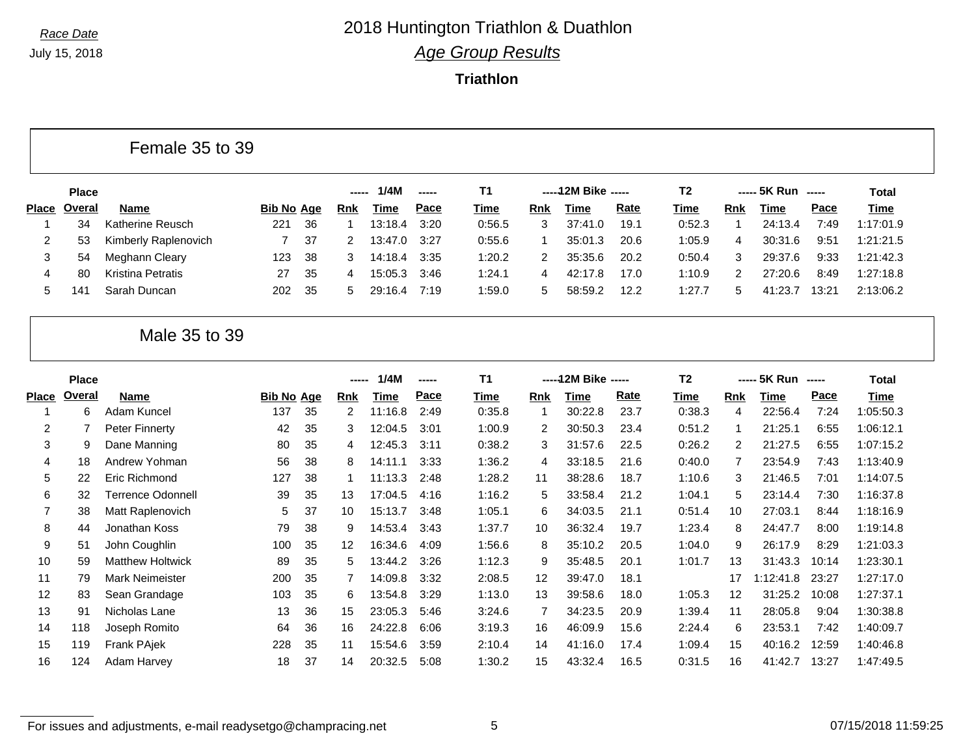**Triathlon**

Female 35 to 39

|              | <b>Place</b> |                          |                   |     | ----- | 1/4M        | $\begin{array}{ccc} \multicolumn{3}{c}{} & \multicolumn{3}{c}{} & \multicolumn{3}{c}{} & \multicolumn{3}{c}{} & \multicolumn{3}{c}{} & \multicolumn{3}{c}{} & \multicolumn{3}{c}{} & \multicolumn{3}{c}{} & \multicolumn{3}{c}{} & \multicolumn{3}{c}{} & \multicolumn{3}{c}{} & \multicolumn{3}{c}{} & \multicolumn{3}{c}{} & \multicolumn{3}{c}{} & \multicolumn{3}{c}{} & \multicolumn{3}{c}{} & \multicolumn{3}{c}{} & \multicolumn{3}{c}{} & \multicolumn{3}{c}{} & \multicolumn$ | T1          |     | -----12M Bike ----- |             | T2          |     | $--- 5K Run$ $---$ |       | Total     |
|--------------|--------------|--------------------------|-------------------|-----|-------|-------------|----------------------------------------------------------------------------------------------------------------------------------------------------------------------------------------------------------------------------------------------------------------------------------------------------------------------------------------------------------------------------------------------------------------------------------------------------------------------------------------|-------------|-----|---------------------|-------------|-------------|-----|--------------------|-------|-----------|
| <b>Place</b> | Overal       | <b>Name</b>              | <b>Bib No Age</b> |     | Rnk   | <u>Time</u> | Pace                                                                                                                                                                                                                                                                                                                                                                                                                                                                                   | <u>Time</u> | Rnk | Time                | <b>Rate</b> | <u>Time</u> | Rnk | Time               | Pace  | Time      |
|              | 34           | Katherine Reusch         | 221               | -36 |       | 13:18.4     | 3:20                                                                                                                                                                                                                                                                                                                                                                                                                                                                                   | 0:56.5      |     | 37:41.0             | 19.1        | 0:52.3      |     | 24:13.4            | 7:49  | 1:17:01.9 |
| 2            | 53           | Kimberly Raplenovich     |                   | 37  |       | 13:47.0     | 3:27                                                                                                                                                                                                                                                                                                                                                                                                                                                                                   | 0:55.6      |     | 35:01.3             | 20.6        | 1:05.9      | 4   | 30:31.6            | 9:51  | 1:21:21.5 |
| 3            | 54           | Meghann Cleary           | 123               | -38 | 3     | 14:18.4     | 3:35                                                                                                                                                                                                                                                                                                                                                                                                                                                                                   | 1:20.2      |     | 35:35.6             | 20.2        | 0:50.4      |     | 29:37.6            | 9:33  | 1:21:42.3 |
| 4            | 80           | <b>Kristina Petratis</b> | 27                | -35 |       | 15:05.3     | 3:46                                                                                                                                                                                                                                                                                                                                                                                                                                                                                   | 1:24.1      | 4   | 42:17.8             | 17.0        | 1:10.9      |     | 27:20.6            | 8:49  | 1:27:18.8 |
| 5.           | $14^{\circ}$ | Sarah Duncan             | 202               | -35 | 5.    | 29:16.4     | 7:19                                                                                                                                                                                                                                                                                                                                                                                                                                                                                   | 1:59.0      | 5   | 58:59.2             | 12.2        | 1:27.7      |     | 41:23.7            | 13:21 | 2:13:06.2 |

#### Male 35 to 39

|       | <b>Place</b> |                         |                   |    | -----      | 1/4M    | ----- | T <sub>1</sub> |     | ----- 12M Bike ----- |      | T <sub>2</sub> |                | ----- 5K Run |       | Total     |
|-------|--------------|-------------------------|-------------------|----|------------|---------|-------|----------------|-----|----------------------|------|----------------|----------------|--------------|-------|-----------|
| Place | Overal       | Name                    | <b>Bib No Age</b> |    | <b>Rnk</b> | Time    | Pace  | <u>Time</u>    | Rnk | Time                 | Rate | Time           | Rnk            | Time         | Pace  | Time      |
|       | 6            | Adam Kuncel             | 137               | 35 | 2          | 11:16.8 | 2:49  | 0:35.8         |     | 30:22.8              | 23.7 | 0:38.3         | 4              | 22:56.4      | 7:24  | 1:05:50.3 |
| 2     |              | Peter Finnerty          | 42                | 35 | 3          | 12:04.5 | 3:01  | 1:00.9         | 2   | 30:50.3              | 23.4 | 0:51.2         | 1              | 21:25.1      | 6:55  | 1:06:12.1 |
| 3     | 9            | Dane Manning            | 80                | 35 | 4          | 12:45.3 | 3:11  | 0:38.2         | 3   | 31:57.6              | 22.5 | 0:26.2         | 2              | 21:27.5      | 6:55  | 1:07:15.2 |
| 4     | 18           | Andrew Yohman           | 56                | 38 | 8          | 14:11.1 | 3:33  | 1:36.2         | 4   | 33:18.5              | 21.6 | 0:40.0         | $\overline{7}$ | 23:54.9      | 7:43  | 1:13:40.9 |
| 5     | 22           | Eric Richmond           | 127               | 38 |            | 11:13.3 | 2:48  | 1:28.2         | 11  | 38:28.6              | 18.7 | 1:10.6         | 3              | 21:46.5      | 7:01  | 1:14:07.5 |
| 6     | 32           | Terrence Odonnell       | 39                | 35 | 13         | 17:04.5 | 4:16  | 1:16.2         | 5   | 33:58.4              | 21.2 | 1:04.1         | 5              | 23:14.4      | 7:30  | 1:16:37.8 |
|       | 38           | Matt Raplenovich        | 5                 | 37 | 10         | 15:13.7 | 3:48  | 1:05.1         | 6   | 34:03.5              | 21.1 | 0:51.4         | 10             | 27:03.1      | 8:44  | 1:18:16.9 |
| 8     | 44           | Jonathan Koss           | 79                | 38 | 9          | 14:53.4 | 3:43  | 1:37.7         | 10  | 36:32.4              | 19.7 | 1:23.4         | 8              | 24:47.7      | 8:00  | 1:19:14.8 |
| 9     | 51           | John Coughlin           | 100               | 35 | 12         | 16:34.6 | 4:09  | 1:56.6         | 8   | 35:10.2              | 20.5 | 1:04.0         | 9              | 26:17.9      | 8:29  | 1:21:03.3 |
| 10    | 59           | <b>Matthew Holtwick</b> | 89                | 35 | 5.         | 13:44.2 | 3:26  | 1:12.3         | 9   | 35:48.5              | 20.1 | 1:01.7         | 13             | 31:43.3      | 10:14 | 1:23:30.1 |
| 11    | 79           | <b>Mark Neimeister</b>  | 200               | 35 | 7          | 14:09.8 | 3:32  | 2:08.5         | 12  | 39:47.0              | 18.1 |                | 17             | 1:12:41.8    | 23:27 | 1:27:17.0 |
| 12    | 83           | Sean Grandage           | 103               | 35 | 6          | 13:54.8 | 3:29  | 1:13.0         | 13  | 39:58.6              | 18.0 | 1:05.3         | 12             | 31:25.2      | 10:08 | 1:27:37.1 |
| 13    | 91           | Nicholas Lane           | 13                | 36 | 15         | 23:05.3 | 5:46  | 3:24.6         |     | 34:23.5              | 20.9 | 1:39.4         | 11             | 28:05.8      | 9:04  | 1:30:38.8 |
| 14    | 118          | Joseph Romito           | 64                | 36 | 16         | 24:22.8 | 6:06  | 3:19.3         | 16  | 46:09.9              | 15.6 | 2:24.4         | 6              | 23:53.1      | 7:42  | 1:40:09.7 |
| 15    | 119          | Frank PAjek             | 228               | 35 | 11         | 15:54.6 | 3:59  | 2:10.4         | 14  | 41:16.0              | 17.4 | 1:09.4         | 15             | 40:16.2      | 12:59 | 1:40:46.8 |
| 16    | 124          | Adam Harvey             | 18                | 37 | 14         | 20:32.5 | 5:08  | 1:30.2         | 15  | 43:32.4              | 16.5 | 0:31.5         | 16             | 41:42.7      | 13:27 | 1:47:49.5 |
|       |              |                         |                   |    |            |         |       |                |     |                      |      |                |                |              |       |           |

For issues and adjustments, e-mail readysetgo@champracing.net 5 6 07/15/2018 11:59:25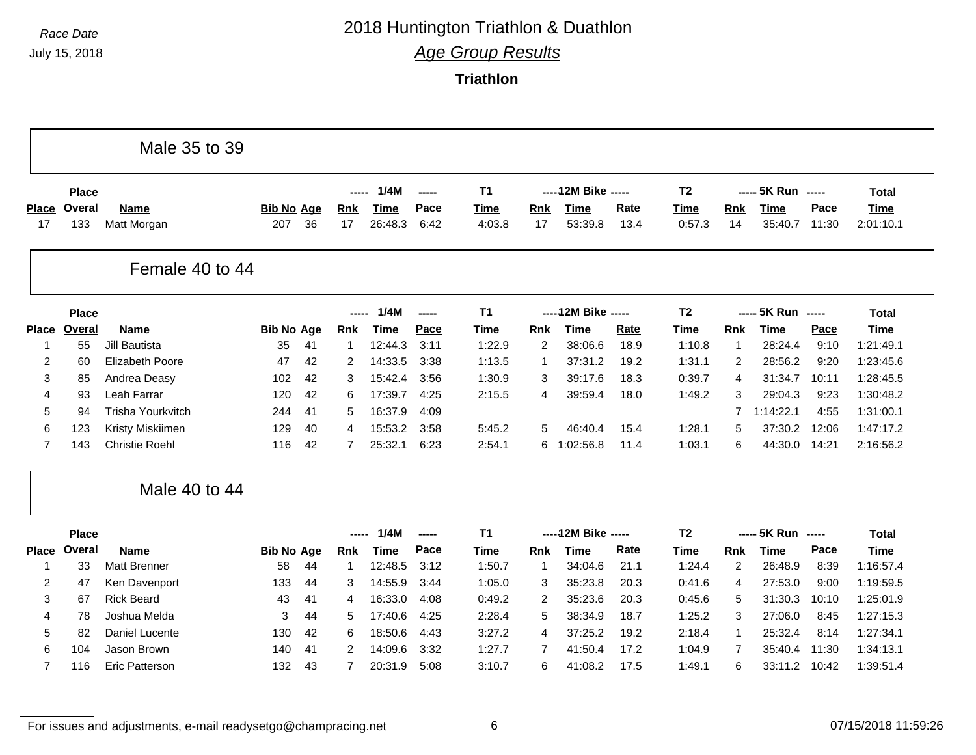# *Race Date* 2018 Huntington Triathlon & Duathlon

*Age Group Results*

**Triathlon**

|                    |                      | Male 35 to 39              |                          |    |                  |                        |               |                |                  |                        |                     |                       |                |                        |               |                          |
|--------------------|----------------------|----------------------------|--------------------------|----|------------------|------------------------|---------------|----------------|------------------|------------------------|---------------------|-----------------------|----------------|------------------------|---------------|--------------------------|
|                    | <b>Place</b>         |                            |                          |    |                  | 1/4M                   | $\frac{1}{2}$ | T <sub>1</sub> |                  | ----- 12M Bike -----   |                     | T <sub>2</sub>        |                | ----- 5K Run -----     |               | <b>Total</b>             |
| <b>Place</b><br>17 | <b>Overal</b><br>133 | <b>Name</b><br>Matt Morgan | <b>Bib No Age</b><br>207 | 36 | <b>Rnk</b><br>17 | <b>Time</b><br>26:48.3 | Pace<br>6:42  | Time<br>4:03.8 | <b>Rnk</b><br>17 | <b>Time</b><br>53:39.8 | <b>Rate</b><br>13.4 | <b>Time</b><br>0:57.3 | Rnk<br>14      | <b>Time</b><br>35:40.7 | Pace<br>11:30 | <b>Time</b><br>2:01:10.1 |
|                    |                      | Female 40 to 44            |                          |    |                  |                        |               |                |                  |                        |                     |                       |                |                        |               |                          |
|                    | <b>Place</b>         |                            |                          |    |                  | 1/4M                   | -----         | <b>T1</b>      |                  | ----- 12M Bike -----   |                     | T <sub>2</sub>        |                | ----- 5K Run -----     |               | <b>Total</b>             |
| <b>Place</b>       | <b>Overal</b>        | <b>Name</b>                | <b>Bib No Age</b>        |    | <b>Rnk</b>       | <b>Time</b>            | Pace          | <b>Time</b>    | Rnk              | <b>Time</b>            | Rate                | <b>Time</b>           | Rnk            | <b>Time</b>            | Pace          | <b>Time</b>              |
| 1                  | 55                   | <b>Jill Bautista</b>       | 35                       | 41 | $\mathbf{1}$     | 12:44.3                | 3:11          | 1:22.9         | $\overline{2}$   | 38:06.6                | 18.9                | 1:10.8                | $\overline{1}$ | 28:24.4                | 9:10          | 1:21:49.1                |
| 2                  | 60                   | Elizabeth Poore            | 47                       | 42 | 2                | 14:33.5                | 3:38          | 1:13.5         | -1               | 37:31.2                | 19.2                | 1:31.1                | 2              | 28:56.2                | 9:20          | 1:23:45.6                |
| 3                  | 85                   | Andrea Deasy               | 102                      | 42 | 3                | 15:42.4                | 3:56          | 1:30.9         | 3                | 39:17.6                | 18.3                | 0:39.7                | $\overline{4}$ | 31:34.7                | 10:11         | 1:28:45.5                |
| 4                  | 93                   | Leah Farrar                | 120                      | 42 | 6                | 17:39.7                | 4:25          | 2:15.5         | 4                | 39:59.4                | 18.0                | 1:49.2                | 3              | 29:04.3                | 9:23          | 1:30:48.2                |
| 5                  | 94                   | <b>Trisha Yourkvitch</b>   | 244                      | 41 | 5                | 16:37.9                | 4:09          |                |                  |                        |                     |                       | 7              | 1:14:22.1              | 4:55          | 1:31:00.1                |
| 6                  | 123                  | Kristy Miskiimen           | 129                      | 40 | 4                | 15:53.2                | 3:58          | 5:45.2         | 5                | 46:40.4                | 15.4                | 1:28.1                | 5              | 37:30.2                | 12:06         | 1:47:17.2                |
| $\overline{7}$     | 143                  | <b>Christie Roehl</b>      | 116                      | 42 | $\overline{7}$   | 25:32.1                | 6:23          | 2:54.1         |                  | 6 1:02:56.8            | 11.4                | 1:03.1                | 6              | 44:30.0                | 14:21         | 2:16:56.2                |
|                    |                      | Male 40 to 44              |                          |    |                  |                        |               |                |                  |                        |                     |                       |                |                        |               |                          |
|                    | <b>Place</b>         |                            |                          |    | -----            | 1/4M                   | -----         | <b>T1</b>      |                  | ----- 12M Bike -----   |                     | T <sub>2</sub>        |                | ----- 5K Run -----     |               | <b>Total</b>             |
| <b>Place</b>       | Overal               | <b>Name</b>                | <b>Bib No Age</b>        |    | Rnk              | <b>Time</b>            | Pace          | Time           | Rnk              | <b>Time</b>            | Rate                | <b>Time</b>           | Rnk            | <b>Time</b>            | Pace          | <b>Time</b>              |
| -1                 | 33                   | <b>Matt Brenner</b>        | 58                       | 44 | 1                | 12:48.5                | 3:12          | 1:50.7         | $\overline{1}$   | 34:04.6                | 21.1                | 1:24.4                | 2              | 26:48.9                | 8:39          | 1:16:57.4                |
| $\overline{c}$     | 47                   | Ken Davenport              | 133                      | 44 | 3                | 14:55.9                | 3:44          | 1:05.0         | 3                | 35:23.8                | 20.3                | 0:41.6                | $\overline{4}$ | 27:53.0                | 9:00          | 1:19:59.5                |
| 3                  | 67                   | <b>Rick Beard</b>          | 43                       | 41 | 4                | 16:33.0                | 4:08          | 0:49.2         | 2                | 35:23.6                | 20.3                | 0:45.6                | 5              | 31:30.3                | 10:10         | 1:25:01.9                |
| 4                  | 78                   | Joshua Melda               | 3                        | 44 | 5                | 17:40.6                | 4:25          | 2:28.4         | 5                | 38:34.9                | 18.7                | 1:25.2                | 3              | 27:06.0                | 8:45          | 1:27:15.3                |
| 5                  | 82                   | Daniel Lucente             | 130                      | 42 | 6                | 18:50.6                | 4:43          | 3:27.2         | 4                | 37:25.2                | 19.2                | 2:18.4                | $\mathbf 1$    | 25:32.4                | 8:14          | 1:27:34.1                |
| 6                  | 104                  | Jason Brown                | 140                      | 41 | 2                | 14:09.6                | 3:32          | 1:27.7         | 7                | 41:50.4                | 17.2                | 1:04.9                | $\overline{7}$ | 35:40.4                | 11:30         | 1:34:13.1                |
|                    |                      |                            |                          |    |                  |                        |               |                |                  |                        |                     |                       |                |                        |               |                          |

For issues and adjustments, e-mail readysetgo@champracing.net 6 07/15/2018 11:59:26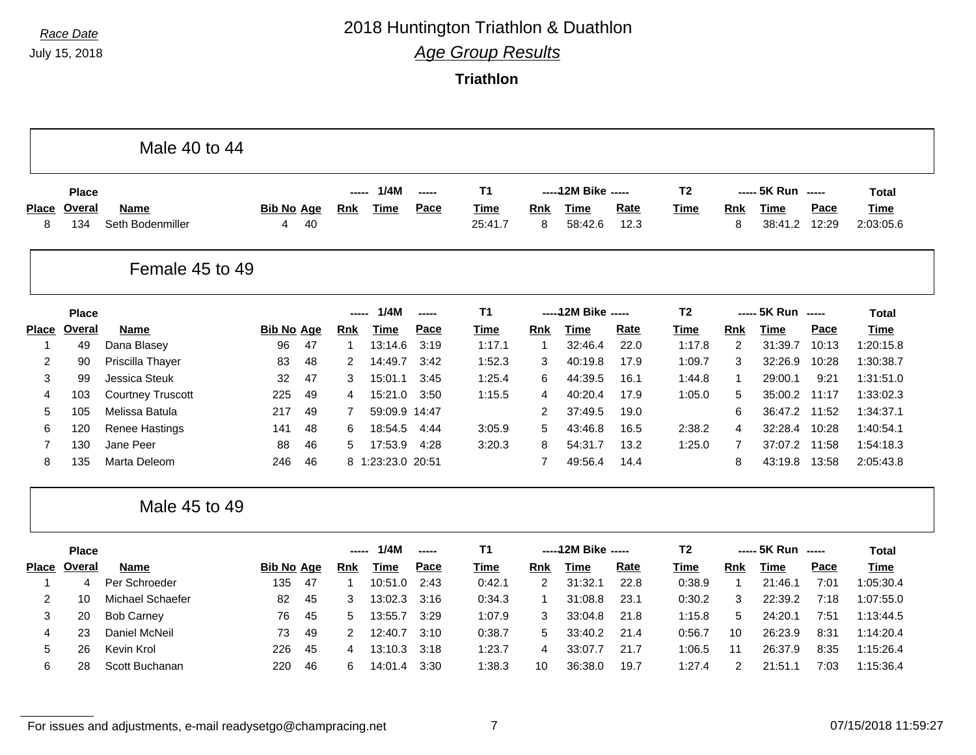$\mathbf{I}$ 

# *Race Date* 2018 Huntington Triathlon & Duathlon

*Age Group Results*

**Triathlon**

|                   |                     | Male 40 to 44                   |                         |    |                            |                        |              |                        |                |                        |              |                       |                 |                        |               |                          |
|-------------------|---------------------|---------------------------------|-------------------------|----|----------------------------|------------------------|--------------|------------------------|----------------|------------------------|--------------|-----------------------|-----------------|------------------------|---------------|--------------------------|
|                   | <b>Place</b>        |                                 |                         |    |                            | 1/4M                   | -----        | T1                     |                | ----- 12M Bike -----   |              | T <sub>2</sub>        | -----           | 5K Run -----           |               | <b>Total</b>             |
| <b>Place</b><br>8 | Overal<br>134       | <b>Name</b><br>Seth Bodenmiller | <b>Bib No Age</b><br>4  | 40 | <b>Rnk</b>                 | <b>Time</b>            | Pace         | <b>Time</b><br>25:41.7 | Rnk<br>8       | Time<br>58:42.6        | Rate<br>12.3 | <b>Time</b>           | <b>Rnk</b><br>8 | <b>Time</b><br>38:41.2 | Pace<br>12:29 | <b>Time</b><br>2:03:05.6 |
|                   |                     | Female 45 to 49                 |                         |    |                            |                        |              |                        |                |                        |              |                       |                 |                        |               |                          |
|                   | <b>Place</b>        |                                 |                         |    | -----                      | 1/4M                   | -----        | <b>T1</b>              |                | ----- 12M Bike -----   |              | <b>T2</b>             |                 | ----- 5K Run -----     |               | <b>Total</b>             |
| <b>Place</b><br>1 | <b>Overal</b><br>49 | <b>Name</b><br>Dana Blasey      | <b>Bib No Age</b><br>96 | 47 | <b>Rnk</b><br>$\mathbf{1}$ | <b>Time</b><br>13:14.6 | Pace<br>3:19 | <b>Time</b><br>1:17.1  | Rnk<br>-1      | <b>Time</b><br>32:46.4 | Rate<br>22.0 | <b>Time</b><br>1:17.8 | Rnk<br>2        | <b>Time</b><br>31:39.7 | Pace<br>10:13 | <b>Time</b><br>1:20:15.8 |
| 2                 | 90                  | Priscilla Thayer                | 83                      | 48 | 2                          | 14:49.7                | 3:42         | 1:52.3                 | 3              | 40:19.8                | 17.9         | 1:09.7                | 3               | 32:26.9                | 10:28         | 1:30:38.7                |
| 3                 | 99                  | <b>Jessica Steuk</b>            | 32                      | 47 | 3                          | 15:01.1                | 3:45         | 1:25.4                 | 6              | 44:39.5                | 16.1         | 1:44.8                | $\overline{1}$  | 29:00.1                | 9:21          | 1:31:51.0                |
| 4                 | 103                 | <b>Courtney Truscott</b>        | 225                     | 49 | 4                          | 15:21.0                | 3:50         | 1:15.5                 | 4              | 40:20.4                | 17.9         | 1:05.0                | 5               | 35:00.2                | 11:17         | 1:33:02.3                |
| 5                 | 105                 | Melissa Batula                  | 217                     | 49 | 7                          | 59:09.9 14:47          |              |                        | 2              | 37:49.5                | 19.0         |                       | 6               | 36:47.2                | 11:52         | 1:34:37.1                |
| 6                 | 120                 | Renee Hastings                  | 141                     | 48 | 6                          | 18:54.5                | 4:44         | 3:05.9                 | 5              | 43:46.8                | 16.5         | 2:38.2                | 4               | 32:28.4                | 10:28         | 1:40:54.1                |
| 7                 | 130                 | Jane Peer                       | 88                      | 46 | 5                          | 17:53.9                | 4:28         | 3:20.3                 | 8              | 54:31.7                | 13.2         | 1:25.0                | $\overline{7}$  | 37:07.2                | 11:58         | 1:54:18.3                |
| 8                 | 135                 | Marta Deleom                    | 246                     | 46 |                            | 8 1:23:23.0 20:51      |              |                        | 7              | 49:56.4                | 14.4         |                       | 8               | 43:19.8                | 13:58         | 2:05:43.8                |
|                   |                     | Male 45 to 49                   |                         |    |                            |                        |              |                        |                |                        |              |                       |                 |                        |               |                          |
|                   | <b>Place</b>        |                                 |                         |    | $- - - - -$                | 1/4M                   | -----        | <b>T1</b>              |                | ----- 12M Bike -----   |              | T <sub>2</sub>        |                 | ----- 5K Run -----     |               | <b>Total</b>             |
| <b>Place</b>      | <b>Overal</b>       | <b>Name</b>                     | <b>Bib No Age</b>       |    | <b>Rnk</b>                 | <b>Time</b>            | Pace         | <b>Time</b>            | Rnk            | <b>Time</b>            | Rate         | <b>Time</b>           | Rnk             | <b>Time</b>            | Pace          | <b>Time</b>              |
| -1                | 4                   | Per Schroeder                   | 135                     | 47 | $\mathbf{1}$               | 10:51.0                | 2:43         | 0:42.1                 | $\overline{2}$ | 31:32.1                | 22.8         | 0:38.9                | $\mathbf{1}$    | 21:46.1                | 7:01          | 1:05:30.4                |
| $\overline{2}$    | 10                  | Michael Schaefer                | 82                      | 45 | 3                          | 13:02.3                | 3:16         | 0:34.3                 | 1              | 31:08.8                | 23.1         | 0:30.2                | 3               | 22:39.2                | 7:18          | 1:07:55.0                |
| 3                 | 20                  | <b>Bob Carney</b>               | 76                      | 45 | 5                          | 13:55.7                | 3:29         | 1:07.9                 | 3              | 33:04.8                | 21.8         | 1:15.8                | 5               | 24:20.1                | 7:51          | 1:13:44.5                |
| 4                 | 23                  | Daniel McNeil                   | 73                      | 49 | 2                          | 12:40.7                | 3:10         | 0:38.7                 | 5              | 33:40.2                | 21.4         | 0:56.7                | 10              | 26:23.9                | 8:31          | 1:14:20.4                |
| 5                 | 26                  | Kevin Krol                      | 226                     | 45 | 4                          | 13:10.3                | 3:18         | 1:23.7                 | 4              | 33:07.7                | 21.7         | 1:06.5                | 11              | 26:37.9                | 8:35          | 1:15:26.4                |
| 6                 | 28                  | Scott Buchanan                  | 220                     | 46 | 6                          | 14:01.4                | 3:30         | 1:38.3                 | 10             | 36:38.0                | 19.7         | 1:27.4                | 2               | 21:51.1                | 7:03          | 1:15:36.4                |

For issues and adjustments, e-mail readysetgo@champracing.net 7 07/15/2018 11:59:27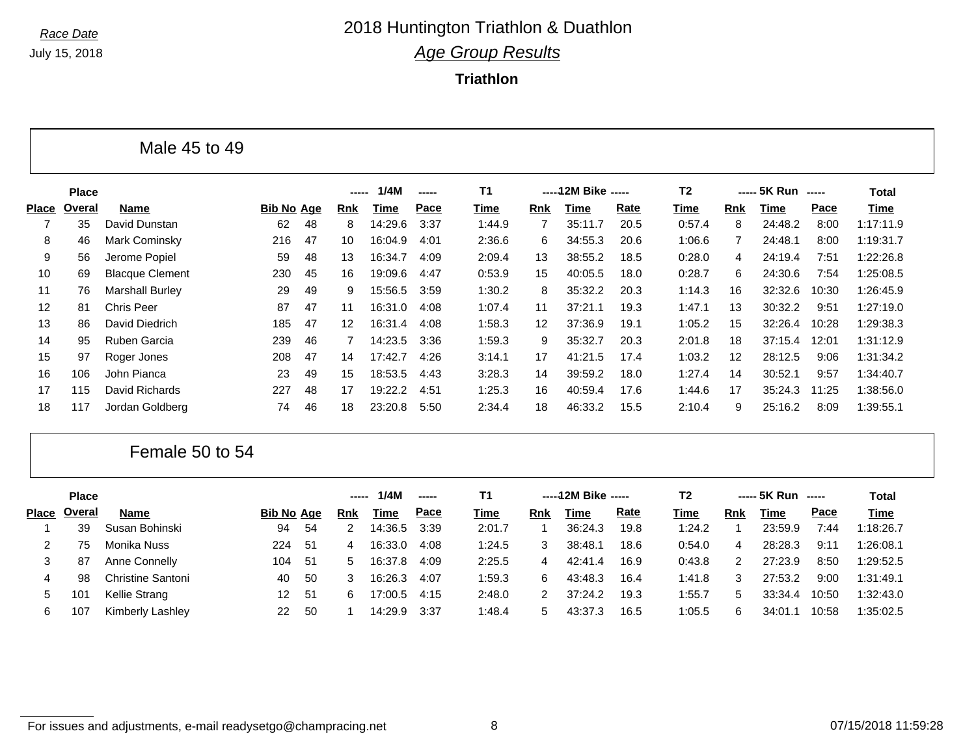**Triathlon**

|                 |              | Male 45 to 49          |                   |    |                   |         |       |        |     |                      |      |                |     |                    |       |              |  |
|-----------------|--------------|------------------------|-------------------|----|-------------------|---------|-------|--------|-----|----------------------|------|----------------|-----|--------------------|-------|--------------|--|
|                 | <b>Place</b> |                        |                   |    |                   | 1/4M    | ----- | T1     |     | ----- 12M Bike ----- |      | T <sub>2</sub> |     | ----- 5K Run ----- |       | <b>Total</b> |  |
| <b>Place</b>    | Overal       | Name                   | <b>Bib No Age</b> |    | Rnk               | Time    | Pace  | Time   | Rnk | <b>Time</b>          | Rate | Time           | Rnk | Time               | Pace  | Time         |  |
|                 | 35           | David Dunstan          | 62                | 48 | 8                 | 14:29.6 | 3:37  | 1:44.9 |     | 35:11.7              | 20.5 | 0:57.4         | 8   | 24:48.2            | 8:00  | 1:17:11.9    |  |
| 8               | 46           | Mark Cominsky          | 216               | 47 | 10                | 16:04.9 | 4:01  | 2:36.6 | 6   | 34:55.3              | 20.6 | 1:06.6         |     | 24:48.1            | 8:00  | 1:19:31.7    |  |
| 9               | 56           | Jerome Popiel          | 59                | 48 | 13                | 16:34.7 | 4:09  | 2:09.4 | 13  | 38:55.2              | 18.5 | 0:28.0         | 4   | 24:19.4            | 7:51  | 1:22:26.8    |  |
| 10              | 69           | <b>Blacque Clement</b> | 230               | 45 | 16                | 19:09.6 | 4:47  | 0:53.9 | 15  | 40:05.5              | 18.0 | 0:28.7         | 6   | 24:30.6            | 7:54  | 1:25:08.5    |  |
| 11              | 76           | <b>Marshall Burley</b> | 29                | 49 | 9                 | 15:56.5 | 3:59  | 1:30.2 | 8   | 35:32.2              | 20.3 | 1:14.3         | 16  | 32:32.6            | 10:30 | 1:26:45.9    |  |
| 12 <sup>2</sup> | 81           | <b>Chris Peer</b>      | 87                | 47 | 11                | 16:31.0 | 4:08  | 1:07.4 | 11  | 37:21.1              | 19.3 | 1:47.1         | 13  | 30:32.2            | 9:51  | 1:27:19.0    |  |
| 13              | 86           | David Diedrich         | 185               | 47 | $12 \overline{ }$ | 16:31.4 | 4:08  | 1:58.3 | 12  | 37:36.9              | 19.1 | 1:05.2         | 15  | 32:26.4            | 10:28 | 1:29:38.3    |  |
| 14              | 95           | Ruben Garcia           | 239               | 46 |                   | 14:23.5 | 3:36  | 1:59.3 | 9   | 35:32.7              | 20.3 | 2:01.8         | 18  | 37:15.4            | 12:01 | 1:31:12.9    |  |
| 15              | 97           | Roger Jones            | 208               | 47 | 14                | 17:42.7 | 4:26  | 3:14.1 | 17  | 41:21.5              | 17.4 | 1:03.2         | 12  | 28:12.5            | 9:06  | 1:31:34.2    |  |
| 16              | 106          | John Pianca            | 23                | 49 | 15                | 18:53.5 | 4:43  | 3:28.3 | 14  | 39:59.2              | 18.0 | 1:27.4         | 14  | 30:52.1            | 9:57  | 1:34:40.7    |  |
| 17              | 115          | David Richards         | 227               | 48 | 17                | 19:22.2 | 4:51  | 1:25.3 | 16  | 40:59.4              | 17.6 | 1:44.6         | 17  | 35:24.3            | 11:25 | 1:38:56.0    |  |
| 18              | 117          | Jordan Goldberg        | 74                | 46 | 18                | 23:20.8 | 5:50  | 2:34.4 | 18  | 46:33.2              | 15.5 | 2:10.4         | 9   | 25:16.2            | 8:09  | 1:39:55.1    |  |

#### Female 50 to 54

|             | <b>Place</b> |                   |                   |     | ----- | 1/4M        | $\frac{1}{2}$ | Τ1     |               | -----12M Bike ----- |      | T2     |            | ----- 5K Run ----- |       | Total       |
|-------------|--------------|-------------------|-------------------|-----|-------|-------------|---------------|--------|---------------|---------------------|------|--------|------------|--------------------|-------|-------------|
| Place       | Overal       | <b>Name</b>       | <b>Bib No Age</b> |     | Rnk   | <u>Time</u> | Pace          | Time   | Rnk           | Time                | Rate | Time   | <b>Rnk</b> | Time               | Pace  | <b>Time</b> |
|             | 39           | Susan Bohinski    | 94                | -54 |       | 14:36.5     | 3:39          | 2:01.7 |               | 36:24.3             | 19.8 | 1:24.2 |            | 23:59.9            | 7:44  | 1:18:26.7   |
|             | 75           | Monika Nuss       | 224               | -51 | 4     | 16:33.0     | 4:08          | 1:24.5 | 3             | 38:48.1             | 18.6 | 0:54.0 | 4          | 28:28.3            | 9:11  | 1:26:08.1   |
| 3           | 87           | Anne Connelly     | 104               | -51 | 5.    | 16:37.8     | 4:09          | 2:25.5 | 4             | 42:41.4             | 16.9 | 0:43.8 | 2          | 27:23.9            | 8:50  | 1:29:52.5   |
|             | 98           | Christine Santoni | 40                | -50 |       | 16:26.3     | 4:07          | 1:59.3 | 6.            | 43:48.3             | 16.4 | 1:41.8 | 3          | 27:53.2            | 9:00  | 1:31:49.1   |
| $\mathbf b$ | 101          | Kellie Strang     | 12.               | -51 | 6     | 17:00.5     | 4:15          | 2:48.0 | 2             | 37:24.2             | 19.3 | 1:55.7 | 5          | 33:34.4            | 10:50 | 1:32:43.0   |
| 6           | 107          | Kimberly Lashley  | 22                | -50 |       | 14:29.9     | 3:37          | 1:48.4 | $\mathcal{D}$ | 43:37.3             | 16.5 | 1:05.5 | 6          | 34:01.             | 10:58 | 1:35:02.5   |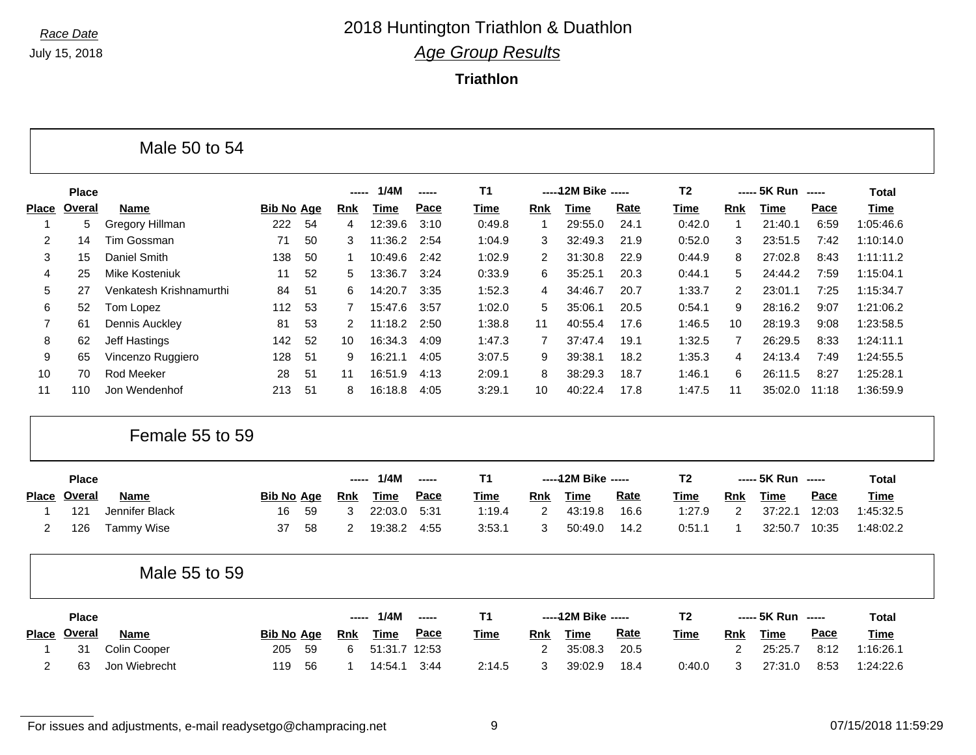#### **Triathlon**

|              |               | Male 50 to 54           |                   |    |            |             |               |             |                |                      |      |                |                |                    |               |              |
|--------------|---------------|-------------------------|-------------------|----|------------|-------------|---------------|-------------|----------------|----------------------|------|----------------|----------------|--------------------|---------------|--------------|
|              | <b>Place</b>  |                         |                   |    | -----      | 1/4M        | -----         | <b>T1</b>   |                | ----- 12M Bike ----- |      | T <sub>2</sub> |                | ----- 5K Run       | $-$           | <b>Total</b> |
| <b>Place</b> | <b>Overal</b> | <b>Name</b>             | <b>Bib No Age</b> |    | <b>Rnk</b> | <b>Time</b> | Pace          | Time        | <b>Rnk</b>     | <b>Time</b>          | Rate | <b>Time</b>    | Rnk            | <b>Time</b>        | Pace          | <b>Time</b>  |
| -1           | 5             | Gregory Hillman         | 222               | 54 | 4          | 12:39.6     | 3:10          | 0:49.8      | 1              | 29:55.0              | 24.1 | 0:42.0         | $\overline{1}$ | 21:40.1            | 6:59          | 1:05:46.6    |
| 2            | 14            | <b>Tim Gossman</b>      | 71                | 50 | 3          | 11:36.2     | 2:54          | 1:04.9      | 3              | 32:49.3              | 21.9 | 0:52.0         | 3              | 23:51.5            | 7:42          | 1:10:14.0    |
| 3            | 15            | Daniel Smith            | 138               | 50 | 1          | 10:49.6     | 2:42          | 1:02.9      | 2              | 31:30.8              | 22.9 | 0:44.9         | 8              | 27:02.8            | 8:43          | 1:11:11.2    |
| 4            | 25            | Mike Kosteniuk          | 11                | 52 | 5          | 13:36.7     | 3:24          | 0:33.9      | 6              | 35:25.1              | 20.3 | 0:44.1         | 5              | 24:44.2            | 7:59          | 1:15:04.1    |
| 5            | 27            | Venkatesh Krishnamurthi | 84                | 51 | 6          | 14:20.7     | 3:35          | 1:52.3      | 4              | 34:46.7              | 20.7 | 1:33.7         | 2              | 23:01.1            | 7:25          | 1:15:34.7    |
| 6            | 52            | Tom Lopez               | 112               | 53 | 7          | 15:47.6     | 3:57          | 1:02.0      | 5              | 35:06.1              | 20.5 | 0:54.1         | 9              | 28:16.2            | 9:07          | 1:21:06.2    |
| 7            | 61            | Dennis Auckley          | 81                | 53 | 2          | 11:18.2     | 2:50          | 1:38.8      | 11             | 40:55.4              | 17.6 | 1:46.5         | 10             | 28:19.3            | 9:08          | 1:23:58.5    |
| 8            | 62            | Jeff Hastings           | 142               | 52 | 10         | 16:34.3     | 4:09          | 1:47.3      | $\overline{7}$ | 37:47.4              | 19.1 | 1:32.5         | 7              | 26:29.5            | 8:33          | 1:24:11.1    |
| 9            | 65            | Vincenzo Ruggiero       | 128               | 51 | 9          | 16:21.1     | 4:05          | 3:07.5      | 9              | 39:38.1              | 18.2 | 1:35.3         | 4              | 24:13.4            | 7:49          | 1:24:55.5    |
| 10           | 70            | Rod Meeker              | 28                | 51 | 11         | 16:51.9     | 4:13          | 2:09.1      | 8              | 38:29.3              | 18.7 | 1:46.1         | 6              | 26:11.5            | 8:27          | 1:25:28.1    |
| 11           | 110           | Jon Wendenhof           | 213               | 51 | 8          | 16:18.8     | 4:05          | 3:29.1      | 10             | 40:22.4              | 17.8 | 1:47.5         | 11             | 35:02.0            | 11:18         | 1:36:59.9    |
|              |               | Female 55 to 59         |                   |    |            |             |               |             |                |                      |      |                |                |                    |               |              |
|              | <b>Place</b>  |                         |                   |    | -----      | 1/4M        | $\frac{1}{2}$ | T1          |                | ----- 12M Bike ----- |      | T <sub>2</sub> |                | ----- 5K Run ----- |               | <b>Total</b> |
| <b>Place</b> | Overal        | <b>Name</b>             | <b>Bib No Age</b> |    | <b>Rnk</b> | <b>Time</b> | Pace          | Time        | <b>Rnk</b>     | <b>Time</b>          | Rate | <b>Time</b>    | Rnk            | <b>Time</b>        | Pace          | <b>Time</b>  |
| 1            | 121           | Jennifer Black          | 16                | 59 | 3          | 22:03.0     | 5:31          | 1:19.4      | 2              | 43:19.8              | 16.6 | 1:27.9         | 2              | 37:22.1            | 12:03         | 1:45:32.5    |
| 2            | 126           | <b>Tammy Wise</b>       | 37                | 58 | 2          | 19:38.2     | 4:55          | 3:53.1      | 3              | 50:49.0              | 14.2 | 0:51.1         | -1             | 32:50.7            | 10:35         | 1:48:02.2    |
|              |               | Male 55 to 59           |                   |    |            |             |               |             |                |                      |      |                |                |                    |               |              |
|              | <b>Place</b>  |                         |                   |    |            | 1/4M        | -----         | <b>T1</b>   |                | ----- 12M Bike ----- |      | T <sub>2</sub> |                | ----- 5K Run       | $\frac{1}{2}$ | <b>Total</b> |
|              | Place Overal  | <b>Name</b>             | <b>Bib No Age</b> |    | Rnk        | <b>Time</b> | Pace          | <b>Time</b> | Rnk            | <b>Time</b>          | Rate | <b>Time</b>    | Rnk            | <b>Time</b>        | Pace          | <b>Time</b>  |

For issues and adjustments, e-mail readysetgo@champracing.net 9 07/15/2018 11:59:29

1 31 Colin Cooper 205 59 6 51:31.7 12:53 2 35:08.3 20.5 2 25:25.7 8:12 1:16:26.1 2 63 Jon Wiebrecht 119 56 1 14:54.1 3:44 2:14.5 3 39:02.9 18.4 0:40.0 3 27:31.0 8:53 1:24:22.6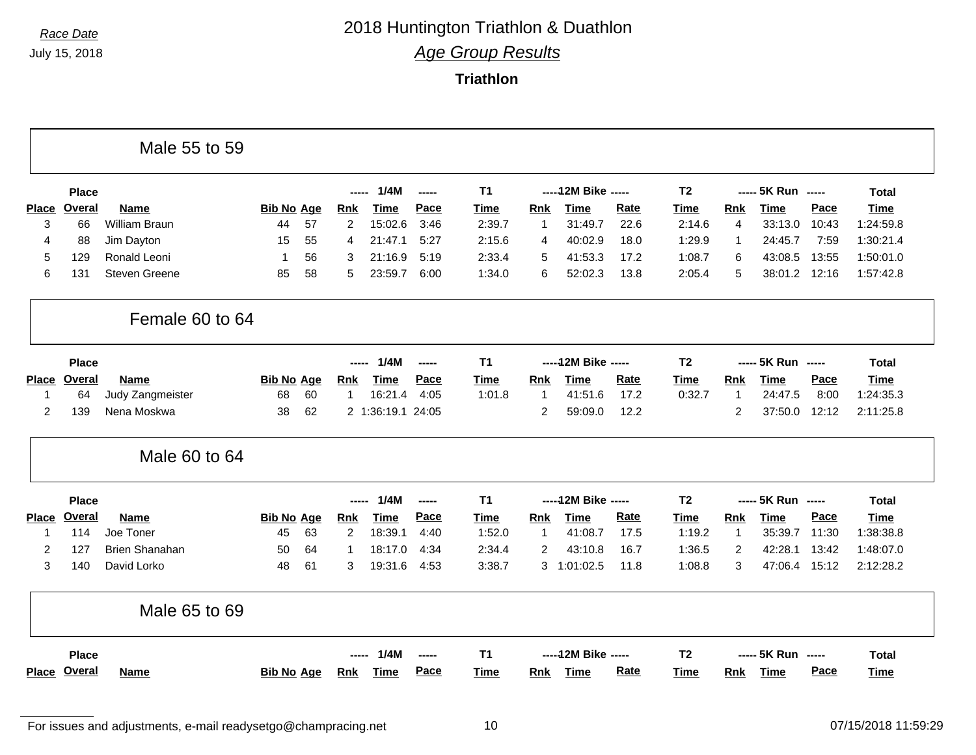**Triathlon**

|              |               | Male 55 to 59         |                   |    |                |                   |               |                |                |                      |      |                |                |                    |       |              |
|--------------|---------------|-----------------------|-------------------|----|----------------|-------------------|---------------|----------------|----------------|----------------------|------|----------------|----------------|--------------------|-------|--------------|
|              | <b>Place</b>  |                       |                   |    | -----          | 1/4M              | $\frac{1}{2}$ | <b>T1</b>      |                | ----- 12M Bike ----- |      | T <sub>2</sub> |                | ----- 5K Run ----- |       | <b>Total</b> |
| <b>Place</b> | <b>Overal</b> | <b>Name</b>           | <b>Bib No Age</b> |    | <u>Rnk</u>     | <b>Time</b>       | Pace          | Time           | Rnk            | <b>Time</b>          | Rate | Time           | Rnk            | <b>Time</b>        | Pace  | <b>Time</b>  |
| 3            | 66            | William Braun         | 44                | 57 | $\overline{c}$ | 15:02.6           | 3:46          | 2:39.7         | 1              | 31:49.7              | 22.6 | 2:14.6         | $\overline{4}$ | 33:13.0            | 10:43 | 1:24:59.8    |
| 4            | 88            | Jim Dayton            | 15                | 55 | 4              | 21:47.1           | 5:27          | 2:15.6         | 4              | 40:02.9              | 18.0 | 1:29.9         | $\mathbf{1}$   | 24:45.7            | 7:59  | 1:30:21.4    |
| 5            | 129           | Ronald Leoni          | 1                 | 56 | 3              | 21:16.9           | 5:19          | 2:33.4         | 5              | 41:53.3              | 17.2 | 1:08.7         | 6              | 43:08.5            | 13:55 | 1:50:01.0    |
| 6            | 131           | <b>Steven Greene</b>  | 85                | 58 | 5              | 23:59.7           | 6:00          | 1:34.0         | 6              | 52:02.3              | 13.8 | 2:05.4         | 5              | 38:01.2 12:16      |       | 1:57:42.8    |
|              |               | Female 60 to 64       |                   |    |                |                   |               |                |                |                      |      |                |                |                    |       |              |
|              | <b>Place</b>  |                       |                   |    | -----          | 1/4M              | $\frac{1}{2}$ | <b>T1</b>      |                | ----- 12M Bike ----- |      | T <sub>2</sub> |                | ----- 5K Run ----- |       | <b>Total</b> |
| <b>Place</b> | Overal        | Name                  | <b>Bib No Age</b> |    | Rnk            | <b>Time</b>       | Pace          | <b>Time</b>    | <b>Rnk</b>     | <b>Time</b>          | Rate | <b>Time</b>    | <b>Rnk</b>     | <b>Time</b>        | Pace  | <b>Time</b>  |
| $\mathbf{1}$ | 64            | Judy Zangmeister      | 68                | 60 | $\mathbf{1}$   | 16:21.4           | 4:05          | 1:01.8         | 1              | 41:51.6              | 17.2 | 0:32.7         | $\overline{1}$ | 24:47.5            | 8:00  | 1:24:35.3    |
| 2            | 139           | Nena Moskwa           | 38                | 62 |                | 2 1:36:19.1 24:05 |               |                | $\overline{2}$ | 59:09.0              | 12.2 |                | $\overline{2}$ | 37:50.0            | 12:12 | 2:11:25.8    |
|              |               | Male 60 to 64         |                   |    |                |                   |               |                |                |                      |      |                |                |                    |       |              |
|              | <b>Place</b>  |                       |                   |    | -----          | 1/4M              | -----         | T <sub>1</sub> |                | ----- 12M Bike ----- |      | T <sub>2</sub> |                | ----- 5K Run ----- |       | <b>Total</b> |
| <b>Place</b> | Overal        | <b>Name</b>           | <b>Bib No Age</b> |    | <b>Rnk</b>     | <b>Time</b>       | Pace          | <b>Time</b>    | Rnk            | <b>Time</b>          | Rate | <b>Time</b>    | <b>Rnk</b>     | <b>Time</b>        | Pace  | <b>Time</b>  |
| -1           | 114           | Joe Toner             | 45                | 63 | $\overline{2}$ | 18:39.1           | 4:40          | 1:52.0         | $\mathbf{1}$   | 41:08.7              | 17.5 | 1:19.2         | $\mathbf{1}$   | 35:39.7            | 11:30 | 1:38:38.8    |
| 2            | 127           | <b>Brien Shanahan</b> | 50                | 64 | $\mathbf 1$    | 18:17.0           | 4:34          | 2:34.4         | $\overline{2}$ | 43:10.8              | 16.7 | 1:36.5         | 2              | 42:28.1            | 13:42 | 1:48:07.0    |
| 3            | 140           | David Lorko           | 48                | 61 | 3              | 19:31.6           | 4:53          | 3:38.7         |                | 3 1:01:02.5          | 11.8 | 1:08.8         | 3              | 47:06.4 15:12      |       | 2:12:28.2    |
|              |               | Male 65 to 69         |                   |    |                |                   |               |                |                |                      |      |                |                |                    |       |              |
|              | <b>Place</b>  |                       |                   |    |                | 1/4M              | -----         | <b>T1</b>      |                | ----- 12M Bike ----- |      | T <sub>2</sub> |                | ----- 5K Run ----- |       | <b>Total</b> |
|              | Place Overal  | <b>Name</b>           | <b>Bib No Age</b> |    | <b>Rnk</b>     | Time              | Pace          | Time           | <b>Rnk</b>     | Time                 | Rate | Time           | <b>Rnk</b>     | Time               | Pace  | Time         |

For issues and adjustments, e-mail readysetgo@champracing.net 10 07/15/2018 11:59:29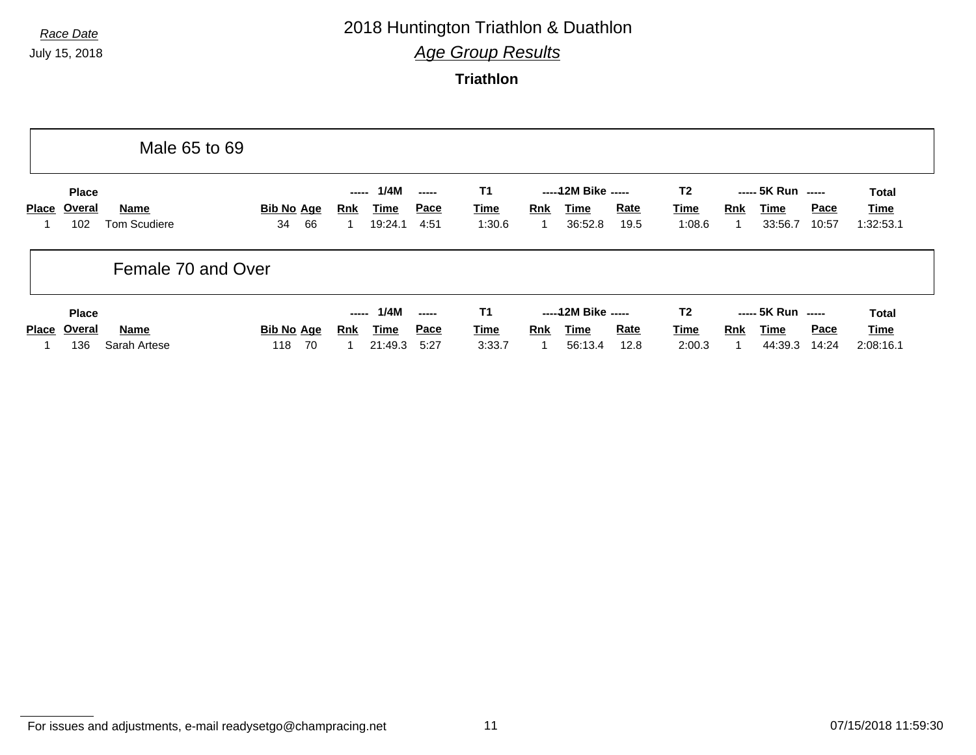# *Race Date* 2018 Huntington Triathlon & Duathlon

*Age Group Results*

**Triathlon**

|       |                               | Male 65 to 69                      |                               |                     |                                |                              |                                    |                 |                                         |              |                                         |            |                                       |                      |                            |
|-------|-------------------------------|------------------------------------|-------------------------------|---------------------|--------------------------------|------------------------------|------------------------------------|-----------------|-----------------------------------------|--------------|-----------------------------------------|------------|---------------------------------------|----------------------|----------------------------|
| Place | <b>Place</b><br>Overal<br>102 | <b>Name</b><br><b>Tom Scudiere</b> | <b>Bib No Age</b><br>66<br>34 | -----<br><b>Rnk</b> | 1/4M<br><u>Time</u><br>19:24.1 | -----<br><u>Pace</u><br>4:51 | <b>T1</b><br><b>Time</b><br>1:30.6 | <b>Rnk</b><br>1 | ----- 12M Bike -----<br>Time<br>36:52.8 | Rate<br>19.5 | T <sub>2</sub><br><u>Time</u><br>1:08.6 | Rnk        | ----- 5K Run -----<br>Time<br>33:56.7 | <b>Pace</b><br>10:57 | Total<br>Time<br>1:32:53.1 |
|       |                               | Female 70 and Over                 |                               |                     |                                |                              |                                    |                 |                                         |              |                                         |            |                                       |                      |                            |
|       | <b>Place</b>                  |                                    |                               | -----               | 1/4M                           | -----                        | <b>T1</b>                          |                 | ----- 12M Bike -----                    |              | T <sub>2</sub>                          |            | ----- 5K Run -----                    |                      | Total                      |
| Place | Overal                        | <b>Name</b>                        | <b>Bib No Age</b>             | Rnk                 | <b>Time</b>                    | <u>Pace</u>                  | <b>Time</b>                        | <b>Rnk</b>      | Time                                    | <b>Rate</b>  | <u>Time</u>                             | <b>Rnk</b> | Time                                  | <b>Pace</b>          | Time                       |
|       | 136                           | Sarah Artese                       | 70<br>118                     |                     | 21:49.3                        | 5:27                         | 3:33.7                             |                 | 56:13.4                                 | 12.8         | 2:00.3                                  |            | 44:39.3                               | 14:24                | 2:08:16.1                  |

For issues and adjustments, e-mail readysetgo@champracing.net 11 07/15/2018 11:59:30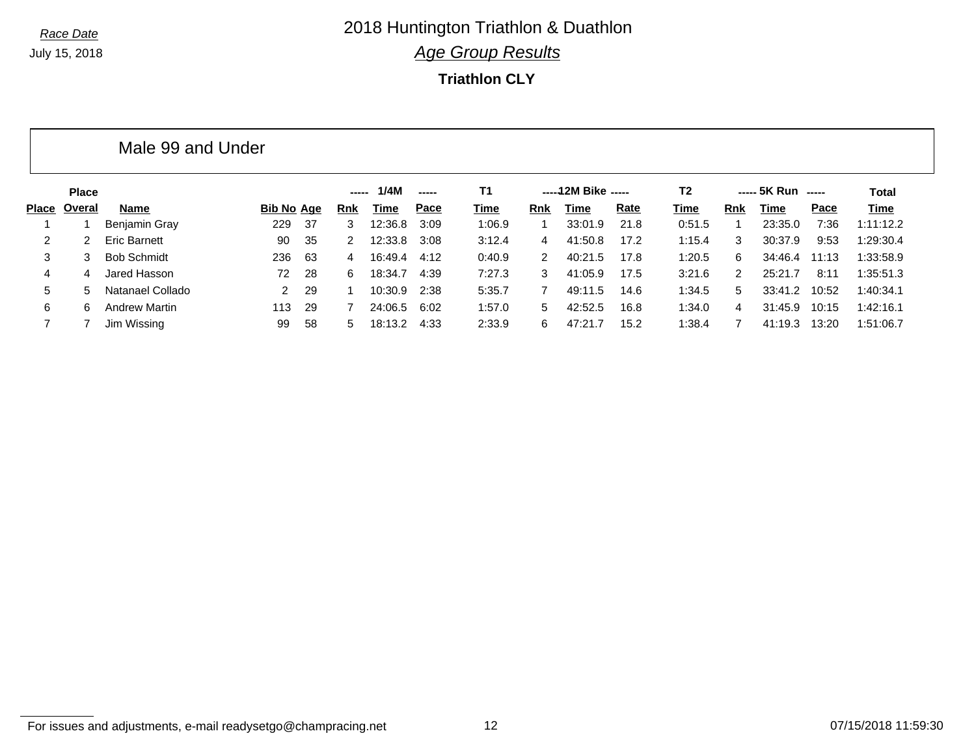**Triathlon CLY**

|              |              | Male 99 and Under    |            |      |               |         |               |        |               |                     |             |        |               |                    |       |           |
|--------------|--------------|----------------------|------------|------|---------------|---------|---------------|--------|---------------|---------------------|-------------|--------|---------------|--------------------|-------|-----------|
|              | <b>Place</b> |                      |            |      | -----         | 1/4M    | $\frac{1}{2}$ | T1     |               | -----12M Bike ----- |             | T2     |               | ----- 5K Run ----- |       | Total     |
| <b>Place</b> | Overal       | Name                 | Bib No Age |      | <b>Rnk</b>    | Time    | Pace          | Time   | Rnk           | Time                | <b>Rate</b> | Time   | Rnk           | Time               | Pace  | Time      |
|              |              | <b>Benjamin Gray</b> | 229        | - 37 | 3             | 12:36.8 | 3:09          | 1:06.9 |               | 33:01.9             | 21.8        | 0:51.5 |               | 23:35.0            | 7:36  | 1:11:12.2 |
| 2.           | 2            | <b>Eric Barnett</b>  | 90         | 35   | $\mathcal{P}$ | 12:33.8 | 3:08          | 3:12.4 | 4             | 41:50.8             | 17.2        | 1:15.4 | 3             | 30:37.9            | 9:53  | 1:29:30.4 |
| 3            | 3            | <b>Bob Schmidt</b>   | 236        | 63   | 4             | 16:49.4 | 4:12          | 0:40.9 | $\mathcal{P}$ | 40:21.5             | 17.8        | 1:20.5 | 6             | 34:46.4            | 11:13 | 1:33:58.9 |
| 4            | 4            | Jared Hasson         | 72         | 28   | 6.            | 18:34.7 | 4:39          | 7:27.3 | 3             | 41:05.9             | 17.5        | 3:21.6 | $\mathcal{P}$ | 25:21.7            | 8:11  | 1:35:51.3 |
| 5            | 5.           | Natanael Collado     | 2          | 29   |               | 10:30.9 | 2:38          | 5:35.7 |               | 49:11.5             | 14.6        | 1:34.5 | 5             | 33:41.2            | 10:52 | 1:40:34.1 |
| 6            | 6            | <b>Andrew Martin</b> | 113        | 29   |               | 24:06.5 | 6:02          | 1:57.0 | 5.            | 42:52.5             | 16.8        | 1:34.0 | 4             | 31:45.9            | 10:15 | 1:42:16.1 |
|              |              | Jim Wissing          | 99         | 58   | 5             | 18:13.2 | 4:33          | 2:33.9 | 6.            | 47:21.7             | 15.2        | 1:38.4 |               | 41:19.3            | 13:20 | 1:51:06.7 |

For issues and adjustments, e-mail readysetgo@champracing.net 12 07/15/2018 11:59:30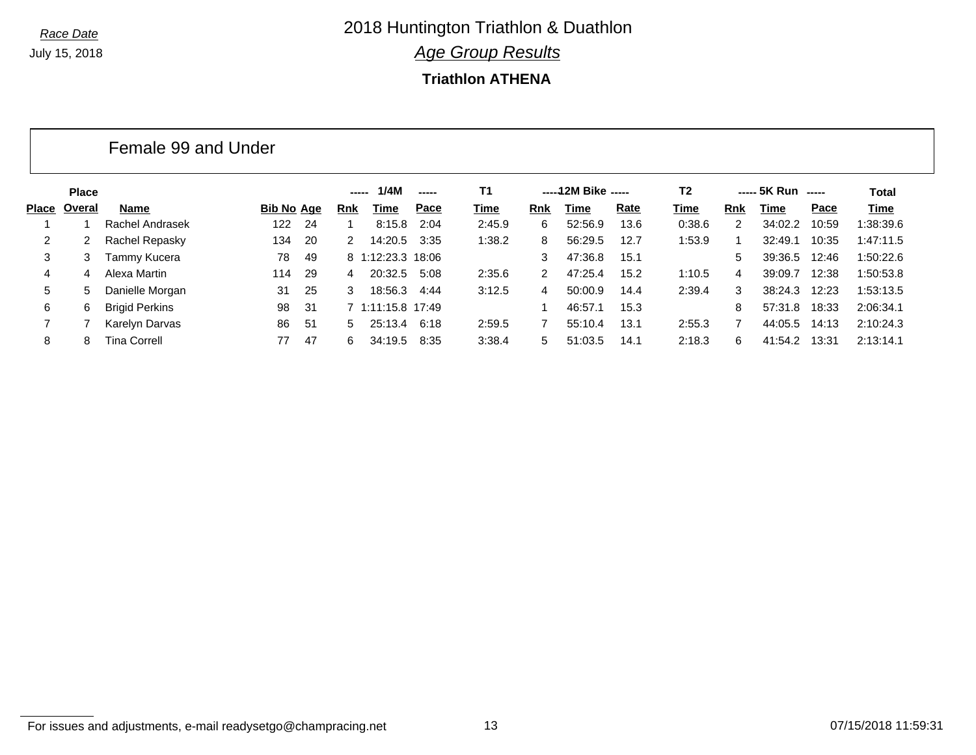#### **Triathlon ATHENA**

| <b>Place</b> |                       |     |                     |               | 1/4M    | $\sim$ - - - - | T1                                                                                           |            |         |      | T2                  |            |         |       | Total                                                          |
|--------------|-----------------------|-----|---------------------|---------------|---------|----------------|----------------------------------------------------------------------------------------------|------------|---------|------|---------------------|------------|---------|-------|----------------------------------------------------------------|
|              | Name                  |     |                     | <b>Rnk</b>    | Time    | Pace           | Time                                                                                         | <b>Rnk</b> | Time    | Rate | Time                | <b>Rnk</b> | Time    | Pace  | Time                                                           |
|              | Rachel Andrasek       | 122 | -24                 |               |         | 2:04           | 2:45.9                                                                                       | 6          | 52:56.9 | 13.6 | 0:38.6              | 2          | 34:02.2 | 10:59 | 1:38:39.6                                                      |
| 2.           | Rachel Repasky        | 134 | -20                 | $\mathcal{P}$ |         | 3:35           | 1:38.2                                                                                       | 8          | 56:29.5 | 12.7 | 1:53.9              |            | 32:49.1 | 10:35 | 1:47:11.5                                                      |
| 3.           | Tammy Kucera          | 78  | -49                 |               |         |                |                                                                                              | 3          | 47:36.8 | 15.1 |                     | 5.         |         | 12:46 | 1:50:22.6                                                      |
| 4            | Alexa Martin          | 114 | -29                 | 4             |         | 5:08           | 2:35.6                                                                                       | 2          | 47:25.4 | 15.2 | 1:10.5              | 4          | 39:09.7 | 12:38 | 1:50:53.8                                                      |
| 5.           | Danielle Morgan       | 31  | 25                  | 3             |         | 4:44           | 3:12.5                                                                                       | 4          | 50:00.9 | 14.4 | 2:39.4              | 3          |         | 12:23 | 1:53:13.5                                                      |
| 6.           | <b>Brigid Perkins</b> | 98  | -31                 |               |         |                |                                                                                              |            | 46:57.1 | 15.3 |                     | 8          |         | 18:33 | 2:06:34.1                                                      |
|              | Karelyn Darvas        | 86  | -51                 | 5             |         | 6:18           | 2:59.5                                                                                       |            | 55:10.4 | 13.1 | 2:55.3              |            |         | 14:13 | 2:10:24.3                                                      |
| 8            | <b>Tina Correll</b>   | 77  | 47                  | 6             | 34:19.5 | 8:35           | 3:38.4                                                                                       | 5.         | 51:03.5 | 14.1 | 2:18.3              | 6          | 41:54.2 | 13:31 | 2:13:14.1                                                      |
|              | Overal                |     | Female 99 and Under | Bib No Age    |         | -----          | 8:15.8<br>14:20.5<br>8 1:12:23.3 18:06<br>20:32.5<br>18:56.3<br>7 1:11:15.8 17:49<br>25:13.4 |            |         |      | -----12M Bike ----- |            |         |       | $--- 5K Run$ $---$<br>39:36.5<br>38:24.3<br>57:31.8<br>44:05.5 |

For issues and adjustments, e-mail readysetgo@champracing.net 13 07/15/2018 11:59:31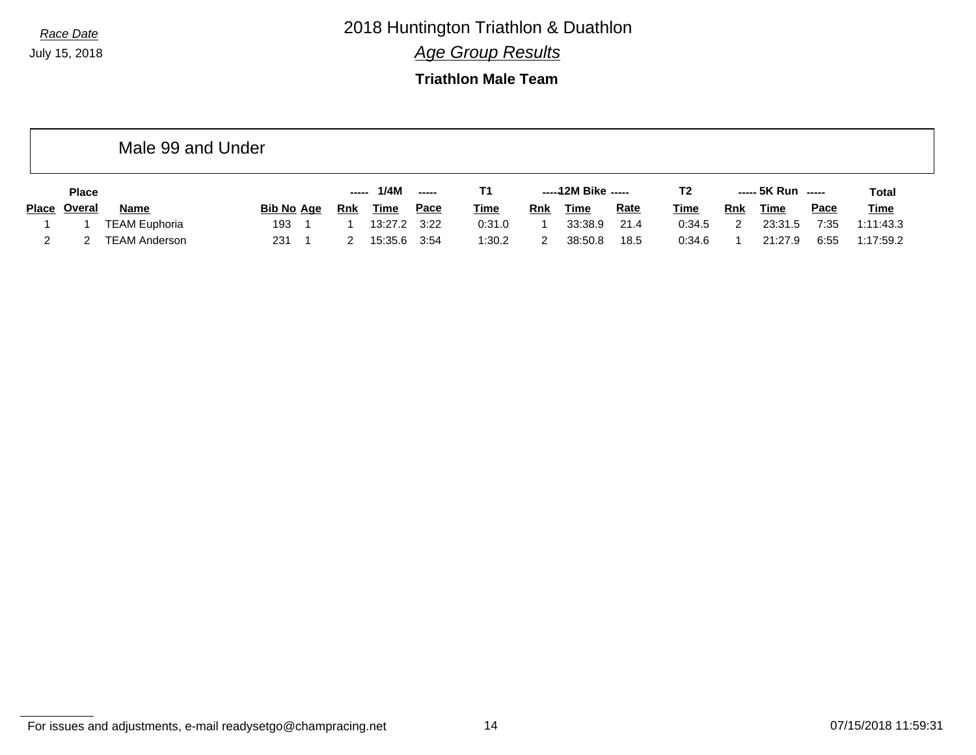*Race Date* 2018 Huntington Triathlon & Duathlon

*Age Group Results*

## **Triathlon Male Team**

|              | Male 99 and Under    |                   |       |             |                          |             |            |                     |             |                |     |                    |             |              |
|--------------|----------------------|-------------------|-------|-------------|--------------------------|-------------|------------|---------------------|-------------|----------------|-----|--------------------|-------------|--------------|
| <b>Place</b> |                      |                   | ----- | 1/4M        | $\overline{\phantom{a}}$ | Τ1          |            | -----12M Bike ----- |             | T <sub>2</sub> |     | ----- 5K Run ----- |             | <b>Total</b> |
| Place Overal | <b>Name</b>          | <b>Bib No Age</b> | Rnk   | <b>Time</b> | Pace                     | <u>Time</u> | <b>Rnk</b> | Time                | <b>Rate</b> | <b>Time</b>    | Rnk | Time               | <b>Pace</b> | <b>Time</b>  |
|              | <b>TEAM Euphoria</b> | 193               |       | 13:27.2     | 3:22                     | 0:31.0      |            | 33:38.9             | 21.4        | 0:34.5         |     | 23:31.5            | 7:35        | 1:11:43.3    |
|              | <b>TEAM Anderson</b> | 231               |       | 15:35.6     | 3:54                     | 1:30.2      |            | 38:50.8             | 18.5        | 0:34.6         |     | 21:27.9            | 6:55        | 1:17:59.2    |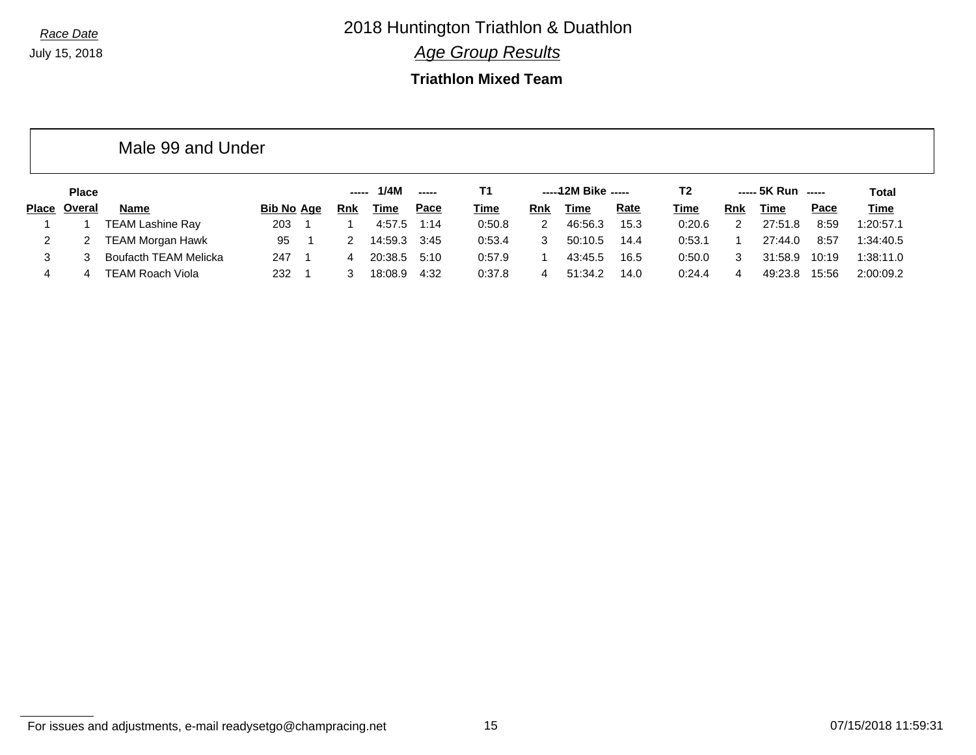## **Triathlon Mixed Team**

|              | <b>Place</b> |                         |                   |     | 1/4M        | $\frac{1}{2}$ | T1          |            | -----12M Bike ----- |             | Т2          |               | ----- 5K Run ----- |       | Total       |
|--------------|--------------|-------------------------|-------------------|-----|-------------|---------------|-------------|------------|---------------------|-------------|-------------|---------------|--------------------|-------|-------------|
| <b>Place</b> | Overal       | <b>Name</b>             | <b>Bib No Age</b> | Rnk | <u>Time</u> | Pace          | <u>Time</u> | <b>Rnk</b> | <u>Time</u>         | <b>Rate</b> | <b>Time</b> | Rnk           | Time               | Pace  | <u>Time</u> |
|              |              | <b>TEAM Lashine Ray</b> | 203               |     | 4:57.5      | 1:14          | 0:50.8      | 2          | 46:56.3             | 15.3        | 0:20.6      | $\mathcal{P}$ | 27:51<br>.8        | 8:59  | 1:20:57.1   |
|              |              | TEAM Morgan Hawk        | 95                |     | 14:59.3     | 3:45          | 0:53.4      | 3          | 50:10.5             | 14.4        | 0:53.1      |               | 27:44.0            | 8:57  | 1:34:40.5   |
| 3.           |              | Boufacth TEAM Melicka   | 247               | 4   | 20:38.5     | 5:10          | 0:57.9      |            | 43:45.5             | 16.5        | 0:50.0      | 3             | 31:58.9            | 10:19 | 1:38:11.0   |
|              | 4            | <b>TEAM Roach Viola</b> | 232               |     | 18:08.9     | 4:32          | 0:37.8      | 4          | 51:34.2             | 14.0        | 0:24.4      |               | 49:23.8            | 15:56 | 2:00:09.2   |

Male 99 and Under

For issues and adjustments, e-mail readysetgo@champracing.net 15 07/15/2018 11:59:31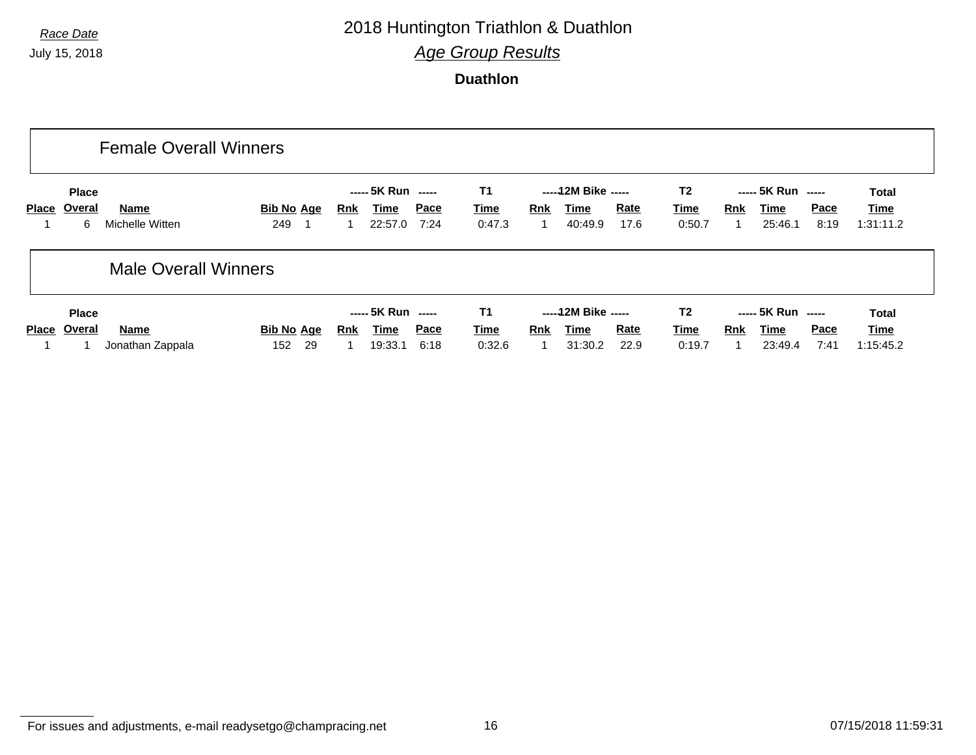# *Race Date* 2018 Huntington Triathlon & Duathlon

*Age Group Results*

**Duathlon**

|              |                             | <b>Female Overall Winners</b> |                   |            |                                       |              |                                    |            |                                         |                     |                                         |     |                                       |                     |                                   |
|--------------|-----------------------------|-------------------------------|-------------------|------------|---------------------------------------|--------------|------------------------------------|------------|-----------------------------------------|---------------------|-----------------------------------------|-----|---------------------------------------|---------------------|-----------------------------------|
| <b>Place</b> | <b>Place</b><br>Overal<br>6 | Name<br>Michelle Witten       | Bib No Age<br>249 | <u>Rnk</u> | ----- 5K Run -----<br>Time<br>22:57.0 | Pace<br>7:24 | <b>T1</b><br><b>Time</b><br>0:47.3 | <b>Rnk</b> | ----- 12M Bike -----<br>Time<br>40:49.9 | <b>Rate</b><br>17.6 | T <sub>2</sub><br><u>Time</u><br>0:50.7 | Rnk | ----- 5K Run -----<br>Time<br>25:46.1 | <b>Pace</b><br>8:19 | <b>Total</b><br>Time<br>1:31:11.2 |
|              |                             | <b>Male Overall Winners</b>   |                   |            |                                       |              |                                    |            |                                         |                     |                                         |     |                                       |                     |                                   |
|              | <b>Place</b>                |                               |                   |            | ----- 5K Run -----                    |              | <b>T1</b>                          |            | ----- 12M Bike -----                    |                     | T <sub>2</sub>                          |     | ----- 5K Run -----                    |                     | <b>Total</b>                      |
| <b>Place</b> | Overal                      | Name                          | <b>Bib No Age</b> | Rnk        | Time                                  | Pace         | <b>Time</b>                        | <b>Rnk</b> | Time                                    | <b>Rate</b>         | <b>Time</b>                             | Rnk | Time                                  | <b>Pace</b>         | Time                              |
|              |                             | Jonathan Zappala              | -29<br>152        |            | 19:33.1                               | 6:18         | 0:32.6                             |            | 31:30.2                                 | 22.9                | 0:19.7                                  |     | 23:49.4                               | 7:41                | 1:15:45.2                         |

For issues and adjustments, e-mail readysetgo@champracing.net 16 07/15/2018 11:59:31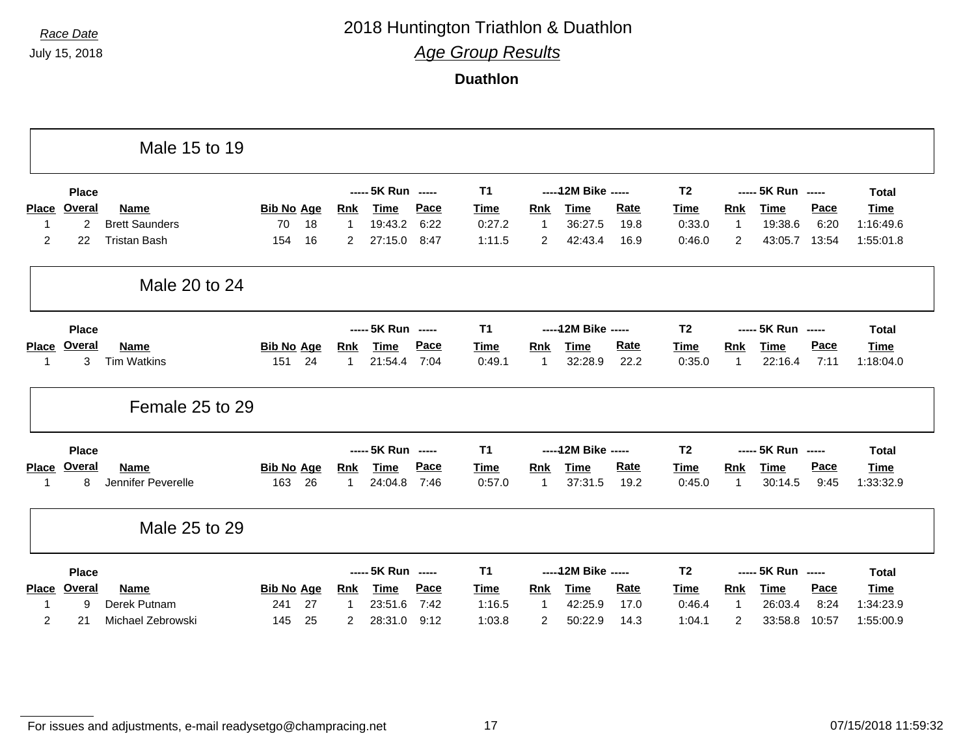# *Race Date* 2018 Huntington Triathlon & Duathlon

*Age Group Results*

**Duathlon**

|              |               | Male 15 to 19         |                   |    |              |                    |             |             |             |                      |             |                |              |                    |             |              |
|--------------|---------------|-----------------------|-------------------|----|--------------|--------------------|-------------|-------------|-------------|----------------------|-------------|----------------|--------------|--------------------|-------------|--------------|
|              | <b>Place</b>  |                       |                   |    |              | ----- 5K Run ----- |             | <b>T1</b>   |             | ----- 12M Bike ----- |             | T <sub>2</sub> |              | ----- 5K Run ----- |             | <b>Total</b> |
| <b>Place</b> | Overal        | <b>Name</b>           | <b>Bib No Age</b> |    | Rnk          | Time               | Pace        | <b>Time</b> | Rnk         | Time                 | <b>Rate</b> | Time           | <b>Rnk</b>   | <b>Time</b>        | Pace        | <b>Time</b>  |
|              | 2             | <b>Brett Saunders</b> | 70                | 18 | $\mathbf{1}$ | 19:43.2            | 6:22        | 0:27.2      | 1           | 36:27.5              | 19.8        | 0:33.0         | 1            | 19:38.6            | 6:20        | 1:16:49.6    |
| 2            | 22            | <b>Tristan Bash</b>   | 154               | 16 | 2            | 27:15.0            | 8:47        | 1:11.5      | 2           | 42:43.4              | 16.9        | 0:46.0         | 2            | 43:05.7            | 13:54       | 1:55:01.8    |
|              |               | Male 20 to 24         |                   |    |              |                    |             |             |             |                      |             |                |              |                    |             |              |
|              | <b>Place</b>  |                       |                   |    |              | ----- 5K Run ----- |             | T1          |             | ----- 12M Bike ----- |             | T <sub>2</sub> |              | ----- 5K Run ----- |             | <b>Total</b> |
| <b>Place</b> | Overal        | <b>Name</b>           | <b>Bib No Age</b> |    | <b>Rnk</b>   | <b>Time</b>        | Pace        | Time        | <b>Rnk</b>  | <b>Time</b>          | <b>Rate</b> | Time           | <b>Rnk</b>   | <b>Time</b>        | Pace        | <b>Time</b>  |
|              | $\mathbf{3}$  | <b>Tim Watkins</b>    | 151               | 24 | 1            | 21:54.4            | 7:04        | 0:49.1      | 1           | 32:28.9              | 22.2        | 0:35.0         | -1           | 22:16.4            | 7:11        | 1:18:04.0    |
|              |               | Female 25 to 29       |                   |    |              |                    |             |             |             |                      |             |                |              |                    |             |              |
|              | <b>Place</b>  |                       |                   |    |              | ----- 5K Run ----- |             | <b>T1</b>   |             | ----- 12M Bike ----- |             | T <sub>2</sub> |              | ----- 5K Run ----- |             | <b>Total</b> |
| <b>Place</b> | <b>Overal</b> | <b>Name</b>           | <b>Bib No Age</b> |    | <b>Rnk</b>   | <b>Time</b>        | Pace        | <b>Time</b> | <b>Rnk</b>  | <b>Time</b>          | <b>Rate</b> | Time           | Rnk          | <b>Time</b>        | Pace        | <b>Time</b>  |
|              | 8             | Jennifer Peverelle    | 163               | 26 | $\mathbf 1$  | 24:04.8            | 7:46        | 0:57.0      | 1           | 37:31.5              | 19.2        | 0:45.0         | 1            | 30:14.5            | 9:45        | 1:33:32.9    |
|              |               | Male 25 to 29         |                   |    |              |                    |             |             |             |                      |             |                |              |                    |             |              |
|              | <b>Place</b>  |                       |                   |    |              | ----- 5K Run ----- |             | <b>T1</b>   |             | ----- 12M Bike ----- |             | T <sub>2</sub> |              | ----- 5K Run ----- |             | <b>Total</b> |
|              |               |                       |                   |    |              |                    |             |             |             |                      | <b>Rate</b> |                |              |                    |             |              |
| <b>Place</b> | Overal        | <b>Name</b>           | <b>Bib No Age</b> |    | <b>Rnk</b>   | <b>Time</b>        | <b>Pace</b> | Time        | Rnk         | <b>Time</b>          |             | Time           | <b>Rnk</b>   | <b>Time</b>        | <b>Pace</b> | Time         |
|              | 9             | Derek Putnam          | 241               | 27 | $\mathbf 1$  | 23:51.6            | 7:42        | 1:16.5      | $\mathbf 1$ | 42:25.9              | 17.0        | 0:46.4         | $\mathbf{1}$ | 26:03.4            | 8:24        | 1:34:23.9    |

For issues and adjustments, e-mail readysetgo@champracing.net 17 07/15/2018 11:59:32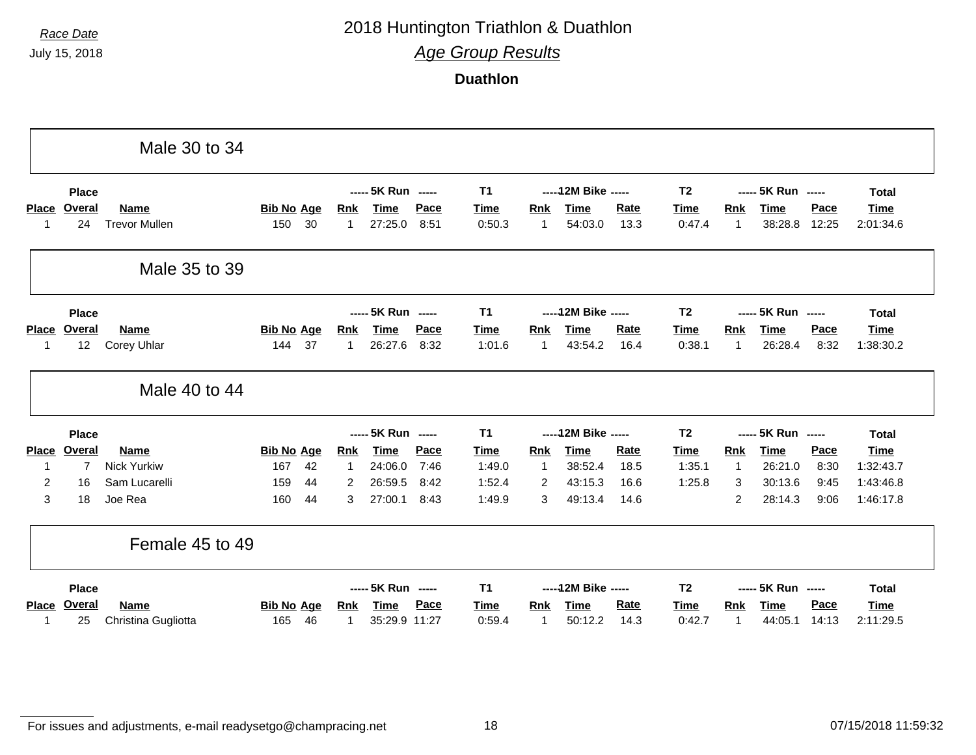# *Race Date* 2018 Huntington Triathlon & Duathlon

*Age Group Results*

**Duathlon**

|                |                | Male 30 to 34        |                   |    |            |                    |      |                |                |                      |             |                |              |                    |       |              |
|----------------|----------------|----------------------|-------------------|----|------------|--------------------|------|----------------|----------------|----------------------|-------------|----------------|--------------|--------------------|-------|--------------|
|                | <b>Place</b>   |                      |                   |    |            | ----- 5K Run ----- |      | <b>T1</b>      |                | ----- 12M Bike ----- |             | T <sub>2</sub> |              | ----- 5K Run ----- |       | <b>Total</b> |
| <b>Place</b>   | <b>Overal</b>  | <b>Name</b>          | <b>Bib No Age</b> |    | <b>Rnk</b> | <b>Time</b>        | Pace | <b>Time</b>    | <b>Rnk</b>     | <b>Time</b>          | <b>Rate</b> | <b>Time</b>    | Rnk          | <b>Time</b>        | Pace  | <b>Time</b>  |
| $\mathbf 1$    | 24             | <b>Trevor Mullen</b> | 150               | 30 | 1          | 27:25.0            | 8:51 | 0:50.3         | -1             | 54:03.0              | 13.3        | 0:47.4         | $\mathbf{1}$ | 38:28.8            | 12:25 | 2:01:34.6    |
|                |                | Male 35 to 39        |                   |    |            |                    |      |                |                |                      |             |                |              |                    |       |              |
|                | <b>Place</b>   |                      |                   |    |            | ----- 5K Run ----- |      | <b>T1</b>      |                | ----- 12M Bike ----- |             | T <sub>2</sub> |              | ----- 5K Run ----- |       | <b>Total</b> |
| Place          | <b>Overal</b>  | <b>Name</b>          | <b>Bib No Age</b> |    | Rnk        | <b>Time</b>        | Pace | <b>Time</b>    | <b>Rnk</b>     | <b>Time</b>          | Rate        | Time           | Rnk          | <b>Time</b>        | Pace  | <b>Time</b>  |
| 1              | 12             | Corey Uhlar          | 144               | 37 | 1          | 26:27.6            | 8:32 | 1:01.6         | $\overline{1}$ | 43:54.2              | 16.4        | 0:38.1         | $\mathbf{1}$ | 26:28.4            | 8:32  | 1:38:30.2    |
|                |                | Male 40 to 44        |                   |    |            |                    |      |                |                |                      |             |                |              |                    |       |              |
|                | <b>Place</b>   |                      |                   |    |            | ----- 5K Run ----- |      | <b>T1</b>      |                | ----- 12M Bike ----- |             | T <sub>2</sub> |              | ----- 5K Run ----- |       | <b>Total</b> |
| <b>Place</b>   | <b>Overal</b>  | <b>Name</b>          | <b>Bib No Age</b> |    | <b>Rnk</b> | <b>Time</b>        | Pace | <b>Time</b>    | <b>Rnk</b>     | <b>Time</b>          | <b>Rate</b> | Time           | Rnk          | <b>Time</b>        | Pace  | <b>Time</b>  |
| 1              | $\overline{7}$ | <b>Nick Yurkiw</b>   | 167               | 42 | 1          | 24:06.0            | 7:46 | 1:49.0         | $\overline{1}$ | 38:52.4              | 18.5        | 1:35.1         | $\mathbf{1}$ | 26:21.0            | 8:30  | 1:32:43.7    |
| $\overline{2}$ | 16             | Sam Lucarelli        | 159               | 44 | 2          | 26:59.5            | 8:42 | 1:52.4         | 2              | 43:15.3              | 16.6        | 1:25.8         | 3            | 30:13.6            | 9:45  | 1:43:46.8    |
| 3              | 18             | Joe Rea              | 160               | 44 | 3          | 27:00.1            | 8:43 | 1:49.9         | 3              | 49:13.4              | 14.6        |                | 2            | 28:14.3            | 9:06  | 1:46:17.8    |
|                |                | Female 45 to 49      |                   |    |            |                    |      |                |                |                      |             |                |              |                    |       |              |
|                |                |                      |                   |    |            |                    |      |                |                |                      |             |                |              |                    |       |              |
|                | <b>Place</b>   |                      |                   |    |            | ----- 5K Run ----- |      | T <sub>1</sub> |                | ----- 12M Bike ----- |             | T <sub>2</sub> |              | ----- 5K Run ----- |       | <b>Total</b> |
| <b>Place</b>   | Overal         | <b>Name</b>          | <b>Bib No Age</b> |    | <u>Rnk</u> | <b>Time</b>        | Pace | <b>Time</b>    | <b>Rnk</b>     | <b>Time</b>          | <b>Rate</b> | <b>Time</b>    | Rnk          | <b>Time</b>        | Pace  | <b>Time</b>  |

For issues and adjustments, e-mail readysetgo@champracing.net 18 07/15/2018 11:59:32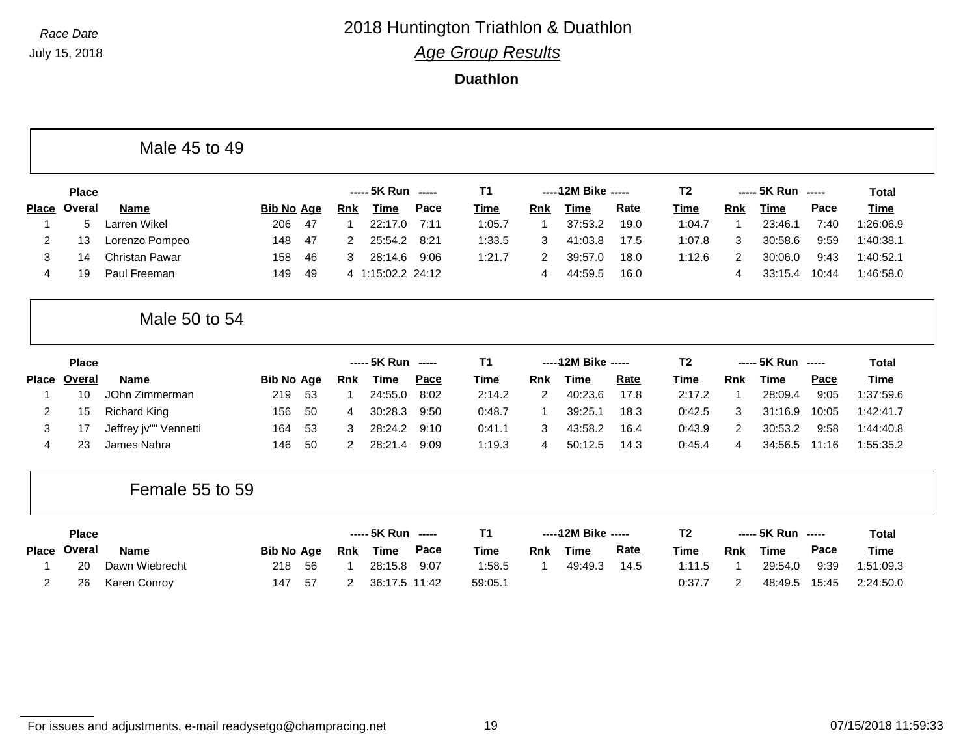F

## *Race Date* 2018 Huntington Triathlon & Duathlon *Age Group Results*

#### **Duathlon**

|                |               | Male 45 to 49         |                   |    |                |                    |      |                |                |                      |      |                |                |                    |                          |              |
|----------------|---------------|-----------------------|-------------------|----|----------------|--------------------|------|----------------|----------------|----------------------|------|----------------|----------------|--------------------|--------------------------|--------------|
|                | <b>Place</b>  |                       |                   |    |                | ----- 5K Run ----- |      | T <sub>1</sub> |                | ----- 12M Bike ----- |      | T <sub>2</sub> |                | ----- 5K Run       | $\overline{\phantom{a}}$ | <b>Total</b> |
| <b>Place</b>   | Overal        | <b>Name</b>           | <b>Bib No Age</b> |    | <b>Rnk</b>     | <b>Time</b>        | Pace | Time           | Rnk            | <b>Time</b>          | Rate | <b>Time</b>    | Rnk            | <b>Time</b>        | Pace                     | <b>Time</b>  |
|                | 5             | Larren Wikel          | 206               | 47 |                | 22:17.0            | 7:11 | 1:05.7         | $\mathbf 1$    | 37:53.2              | 19.0 | 1:04.7         | $\mathbf 1$    | 23:46.1            | 7:40                     | 1:26:06.9    |
| 2              | 13            | Lorenzo Pompeo        | 148               | 47 | 2              | 25:54.2            | 8:21 | 1:33.5         | 3              | 41:03.8              | 17.5 | 1:07.8         | 3              | 30:58.6            | 9:59                     | 1:40:38.1    |
| 3              | 14            | Christan Pawar        | 158               | 46 | 3              | 28:14.6            | 9:06 | 1:21.7         | 2              | 39:57.0              | 18.0 | 1:12.6         | 2              | 30:06.0            | 9:43                     | 1:40:52.1    |
| 4              | 19            | Paul Freeman          | 149               | 49 |                | 4 1:15:02.2 24:12  |      |                | 4              | 44:59.5              | 16.0 |                | 4              | 33:15.4            | 10:44                    | 1:46:58.0    |
|                |               | Male 50 to 54         |                   |    |                |                    |      |                |                |                      |      |                |                |                    |                          |              |
|                | <b>Place</b>  |                       |                   |    |                | ----- 5K Run ----- |      | <b>T1</b>      |                | ----- 12M Bike ----- |      | T <sub>2</sub> |                | ----- 5K Run ----- |                          | <b>Total</b> |
| <b>Place</b>   | <b>Overal</b> | <b>Name</b>           | <b>Bib No Age</b> |    | <b>Rnk</b>     | <b>Time</b>        | Pace | <b>Time</b>    | <b>Rnk</b>     | <b>Time</b>          | Rate | <b>Time</b>    | Rnk            | <b>Time</b>        | Pace                     | <b>Time</b>  |
|                | 10            | JOhn Zimmerman        | 219               | 53 |                | 24:55.0            | 8:02 | 2:14.2         | $\overline{2}$ | 40:23.6              | 17.8 | 2:17.2         | $\mathbf 1$    | 28:09.4            | 9:05                     | 1:37:59.6    |
| 2              | 15            | <b>Richard King</b>   | 156               | 50 | 4              | 30:28.3            | 9:50 | 0:48.7         | $\mathbf 1$    | 39:25.1              | 18.3 | 0:42.5         | 3              | 31:16.9            | 10:05                    | 1:42:41.7    |
| 3              | 17            | Jeffrey jv"" Vennetti | 164               | 53 | 3              | 28:24.2            | 9:10 | 0:41.1         | 3              | 43:58.2              | 16.4 | 0:43.9         | $\overline{2}$ | 30:53.2            | 9:58                     | 1:44:40.8    |
| 4              | 23            | James Nahra           | 146               | 50 | 2              | 28:21.4            | 9:09 | 1:19.3         | 4              | 50:12.5              | 14.3 | 0:45.4         | 4              | 34:56.5            | 11:16                    | 1:55:35.2    |
|                |               | Female 55 to 59       |                   |    |                |                    |      |                |                |                      |      |                |                |                    |                          |              |
|                | <b>Place</b>  |                       |                   |    |                | ----- 5K Run ----- |      | T <sub>1</sub> |                | ----- 12M Bike ----- |      | T <sub>2</sub> |                | ----- 5K Run ----- |                          | <b>Total</b> |
| <b>Place</b>   | <b>Overal</b> | <b>Name</b>           | <b>Bib No Age</b> |    | <b>Rnk</b>     | <b>Time</b>        | Pace | Time           | <b>Rnk</b>     | <b>Time</b>          | Rate | <b>Time</b>    | <b>Rnk</b>     | <b>Time</b>        | Pace                     | Time         |
|                | 20            | Dawn Wiebrecht        | 218               | 56 |                | 28:15.8            | 9:07 | 1:58.5         | $\mathbf 1$    | 49:49.3              | 14.5 | 1:11.5         | $\mathbf 1$    | 29:54.0            | 9:39                     | 1:51:09.3    |
| $\overline{2}$ | 26            | Karen Conroy          | 147               | 57 | $\overline{2}$ | 36:17.5 11:42      |      | 59:05.1        |                |                      |      | 0:37.7         | $\overline{2}$ | 48:49.5            | 15:45                    | 2:24:50.0    |
|                |               |                       |                   |    |                |                    |      |                |                |                      |      |                |                |                    |                          |              |

٦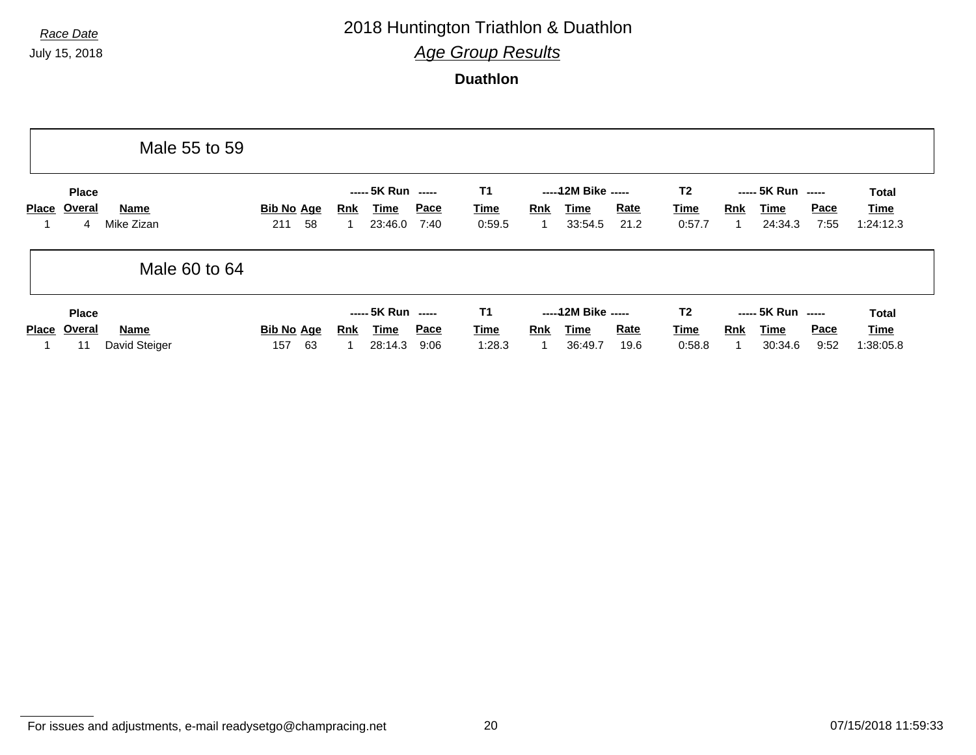# *Race Date* 2018 Huntington Triathlon & Duathlon

*Age Group Results*

**Duathlon**

|              |                              | Male 55 to 59         |                                |                                                     |                     |                                    |                                                       |                     |                                         |     |                                       |                     |                                          |
|--------------|------------------------------|-----------------------|--------------------------------|-----------------------------------------------------|---------------------|------------------------------------|-------------------------------------------------------|---------------------|-----------------------------------------|-----|---------------------------------------|---------------------|------------------------------------------|
| <b>Place</b> | <b>Place</b><br>Overal<br>4  | Name<br>Mike Zizan    | <b>Bib No Age</b><br>58<br>211 | ----- 5K Run -----<br>Time<br>Rnk<br>23:46.0        | Pace<br>7:40        | <b>T1</b><br><b>Time</b><br>0:59.5 | ----- 12M Bike -----<br>Rnk<br>Time<br>33:54.5<br>1   | <u>Rate</u><br>21.2 | T <sub>2</sub><br><u>Time</u><br>0:57.7 | Rnk | ----- 5K Run -----<br>Time<br>24:34.3 | <b>Pace</b><br>7:55 | <b>Total</b><br>Time<br>1:24:12.3        |
|              |                              | Male 60 to 64         |                                |                                                     |                     |                                    |                                                       |                     |                                         |     |                                       |                     |                                          |
| <b>Place</b> | <b>Place</b><br>Overal<br>11 | Name<br>David Steiger | <b>Bib No Age</b><br>63<br>157 | ----- 5K Run -----<br><u>Time</u><br>Rnk<br>28:14.3 | <u>Pace</u><br>9:06 | <b>T1</b><br><b>Time</b><br>1:28.3 | ----- 12M Bike -----<br><b>Rnk</b><br>Time<br>36:49.7 | <u>Rate</u><br>19.6 | T <sub>2</sub><br><u>Time</u><br>0:58.8 | Rnk | ----- 5K Run -----<br>Time<br>30:34.6 | <b>Pace</b><br>9:52 | <b>Total</b><br><u>Time</u><br>1:38:05.8 |

For issues and adjustments, e-mail readysetgo@champracing.net 20 07/15/2018 11:59:33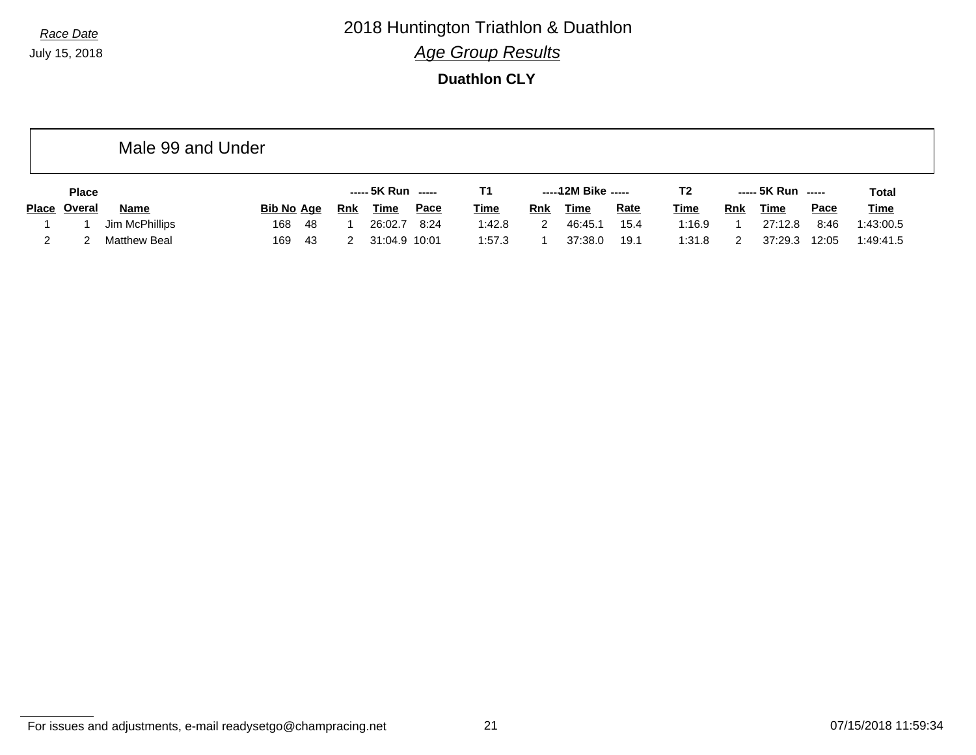*Race Date* 2018 Huntington Triathlon & Duathlon *Age Group Results*

**Duathlon CLY**

|              | Male 99 and Under   |            |     |               |             |             |     |                     |             |                |     |                    |             |             |
|--------------|---------------------|------------|-----|---------------|-------------|-------------|-----|---------------------|-------------|----------------|-----|--------------------|-------------|-------------|
| <b>Place</b> |                     |            |     |               |             | Τ1          |     | -----12M Bike ----- |             | T <sub>2</sub> |     | ----- 5K Run ----- |             | Total       |
| Place Overal | <b>Name</b>         | Bib No Age | Rnk | <b>Time</b>   | <u>Pace</u> | <b>Time</b> | Rnk | <u>Time</u>         | <b>Rate</b> | <b>Time</b>    | Rnk | <b>Time</b>        | <b>Pace</b> | <b>Time</b> |
|              | Jim McPhillips      | 168<br>-48 |     | 26:02.7       | 8:24        | 1:42.8      | 2   | 46:45.1             | 15.4        | 1:16.9         |     | 27:12.8            | 8:46        | 1:43:00.5   |
|              | <b>Matthew Beal</b> | 169<br>-43 |     | 31:04.9 10:01 |             | 1:57.3      |     | 37:38.0             | 19.1        | 1:31.8         |     | 37:29.3            | 12:05       | 1:49:41.5   |

For issues and adjustments, e-mail readysetgo@champracing.net 21 07/15/2018 11:59:34